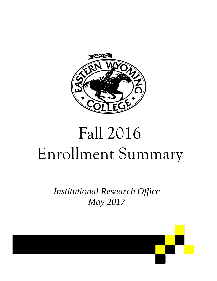

# Fall 2016 Enrollment Summary

*Institutional Research Office May 2017* 

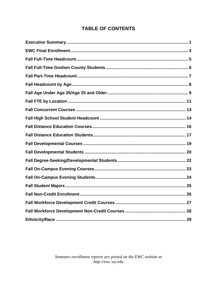## **TABLE OF CONTENTS**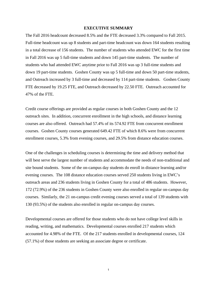#### **EXECUTIVE SUMMARY**

The Fall 2016 headcount decreased 8.5% and the FTE decreased 3.3% compared to Fall 2015. Full-time headcount was up 8 students and part-time headcount was down 164 students resulting in a total decrease of 156 students. The number of students who attended EWC for the first time in Fall 2016 was up 5 full-time students and down 145 part-time students. The number of students who had attended EWC anytime prior to Fall 2016 was up 3 full-time students and down 19 part-time students. Goshen County was up 5 full-time and down 50 part-time students, and Outreach increased by 3 full-time and decreased by 114 part-time students. Goshen County FTE decreased by 19.25 FTE, and Outreach decreased by 22.50 FTE. Outreach accounted for 47% of the FTE.

Credit course offerings are provided as regular courses in both Goshen County and the 12 outreach sites. In addition, concurrent enrollment in the high schools, and distance learning courses are also offered. Outreach had 57.4% of its 574.92 FTE from concurrent enrollment courses. Goshen County courses generated 649.42 FTE of which 8.6% were from concurrent enrollment courses, 5.3% from evening courses, and 29.5% from distance education courses.

One of the challenges in scheduling courses is determining the time and delivery method that will best serve the largest number of students and accommodate the needs of non-traditional and site bound students. Some of the on-campus day students do enroll in distance learning and/or evening courses. The 108 distance education courses served 250 students living in EWC's outreach areas and 236 students living in Goshen County for a total of 486 students. However, 172 (72.9%) of the 236 students in Goshen County were also enrolled in regular on-campus day courses. Similarly, the 21 on-campus credit evening courses served a total of 139 students with 130 (93.5%) of the students also enrolled in regular on-campus day courses.

Developmental courses are offered for those students who do not have college level skills in reading, writing, and mathematics. Developmental courses enrolled 217 students which accounted for 4.98% of the FTE. Of the 217 students enrolled in developmental courses, 124 (57.1%) of those students are seeking an associate degree or certificate.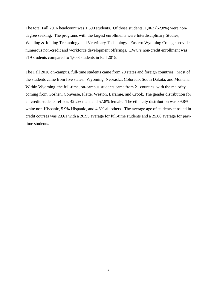The total Fall 2016 headcount was 1,690 students. Of those students, 1,062 (62.8%) were nondegree seeking. The programs with the largest enrollments were Interdisciplinary Studies, Welding & Joining Technology and Veterinary Technology. Eastern Wyoming College provides numerous non-credit and workforce development offerings. EWC's non-credit enrollment was 719 students compared to 1,653 students in Fall 2015.

The Fall 2016 on-campus, full-time students came from 20 states and foreign countries. Most of the students came from five states: Wyoming, Nebraska, Colorado, South Dakota, and Montana. Within Wyoming, the full-time, on-campus students came from 21 counties, with the majority coming from Goshen, Converse, Platte, Weston, Laramie, and Crook. The gender distribution for all credit students reflects 42.2% male and 57.8% female. The ethnicity distribution was 89.8% white non-Hispanic, 5.9% Hispanic, and 4.3% all others. The average age of students enrolled in credit courses was 23.61 with a 20.95 average for full-time students and a 25.08 average for parttime students.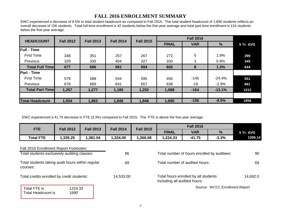#### **FALL 2016 ENROLLMENT SUMMARY**

EWC experienced a decrease of 8.5% in total student headcount as compared to Fall 2015. The total student headcount of 1,690 students reflects an overall decrease of 156 students. Total full-time enrollment is 42 students below the five-year average and total part-time enrollment is 124 students below the five-year average.

| <b>HEADCOUNT</b>        | <b>Fall 2012</b> | <b>Fall 2013</b> | <b>Fall 2014</b> | <b>Fall 2015</b> |              | <b>Fall 2016</b> |               |           |
|-------------------------|------------------|------------------|------------------|------------------|--------------|------------------|---------------|-----------|
|                         |                  |                  |                  |                  | <b>FINAL</b> | <b>VAR</b>       | $\frac{9}{6}$ | 5 Yr. AVG |
| <b>Full - Time</b>      |                  |                  |                  |                  |              |                  |               |           |
| <b>First Time</b>       | 348              | 351              | 257              | 267              | 272          | 5                | 1.9%          | 299       |
| Previous                | 329              | 335              | 404              | 327              | 330          | 3                | 0.9%          | 345       |
| <b>Total Full Timel</b> | 677              | 686              | 661              | 594              | 602          | 8                | 1.3%          | 644       |
| <b>Part - Time</b>      |                  |                  |                  |                  |              |                  |               |           |
| <b>First Time</b>       | 579              | 588              | 544              | 595              | 450          | $-145$           | $-24.4%$      | 551       |
| Previous                | 678              | 689              | 641              | 657              | 638          | $-19$            | $-2.9%$       | 661       |
| <b>Total Part Timel</b> | 1,257            | 1,277            | 1,185            | 1,252            | 1,088        | $-164$           | $-13.1%$      | 1212      |
|                         |                  |                  |                  |                  |              |                  |               |           |
| <b>Total Headcount</b>  | 1,934            | 1,963            | 1,846            | 1,846            | 1,690        | $-156$           | $-8.5%$       | 1856      |

EWC experienced a 41.75 decrease in FTE (3.3%) compared to Fall 2015. The FTE is above the five-year average.

|                                                                                        |                  |                  |                  |                  |                              | <b>Fall 2016</b>                            |                                |           |  |
|----------------------------------------------------------------------------------------|------------------|------------------|------------------|------------------|------------------------------|---------------------------------------------|--------------------------------|-----------|--|
| <b>FTE</b>                                                                             | <b>Fall 2012</b> | <b>Fall 2013</b> | <b>Fall 2014</b> | <b>Fall 2015</b> | <b>FINAL</b>                 | <b>VAR</b>                                  |                                | 5 Yr. AVG |  |
| <b>Total FTE</b>                                                                       | 1,335.25         | 1,381.04         | 1,324.00         | 1,266.08         | 1,224.33                     | $-41.75$                                    | $-3.3%$                        | 1306.14   |  |
| Fall 2016 Enrollment Report Footnotes:<br>Total students exclusively auditing classes: |                  |                  | 86               |                  |                              | Total number of hours enrolled by auditees: |                                | 90        |  |
| Total students taking audit hours within regular<br>courses:                           |                  |                  | 69               |                  |                              | Total number of audited hours:              |                                |           |  |
| Total credits enrolled by credit students:                                             |                  |                  | 14,533.00        |                  | including all audited hours: | Total hours enrolled by all students        |                                | 14,692.0  |  |
| Total FTE is<br><b>Total Headcount is</b>                                              | 1224.33<br>1690  |                  |                  |                  |                              |                                             | Source: WCCC Enrollment Report |           |  |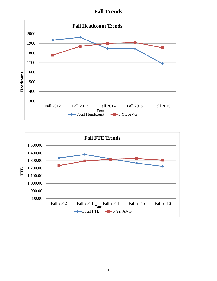**Fall Trends**



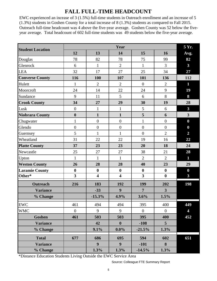## **FALL FULL-TIME HEADCOUNT**

EWC experienced an incease of 3 (1.5%) full-time students in Outreach enrollment and an increase of 5 (1.3%) students in Goshen County for a total increase of 8 (1.3%) students as compared to Fall 2015. Outreach full-time headcount was 4 above the five-year average. Goshen County was 52 below the fiveyear average. Total headcount of 602 full-time students was 49 students below the five-year average.

| <b>Student Location</b> |                         |                         | Year                    |                         |                  | 5 Yr.                   |
|-------------------------|-------------------------|-------------------------|-------------------------|-------------------------|------------------|-------------------------|
|                         | 12                      | 13                      | 14                      | 15                      | 16               | Avg.                    |
| Douglas                 | 78                      | 82                      | 78                      | 75                      | 99               | 82                      |
| Glenrock                | 6                       | $\mathbf{1}$            | $\overline{2}$          | $\mathbf{1}$            | $\overline{3}$   | $\overline{\mathbf{3}}$ |
| <b>LEA</b>              | 32                      | 17                      | 27                      | 25                      | 34               | 27                      |
| <b>Converse County</b>  | 116                     | 100                     | 107                     | 101                     | 136              | 112                     |
| Hulett                  | $\mathbf{1}$            | $\overline{2}$          | $\overline{2}$          | $\boldsymbol{0}$        | $\overline{2}$   | $\mathbf{1}$            |
| Moorcroft               | 24                      | 14                      | 22                      | 24                      | 9                | 19                      |
| Sundance                | 9                       | 11                      | 5                       | 6                       | 8                | 8                       |
| <b>Crook County</b>     | 34                      | 27                      | 29                      | 30                      | 19               | 28                      |
| Lusk                    | $\boldsymbol{0}$        | $\mathbf{1}$            | $\mathbf{1}$            | 5                       | 6                | $\overline{\mathbf{3}}$ |
| <b>Niobrara County</b>  | $\boldsymbol{0}$        | $\mathbf{1}$            | $\mathbf{1}$            | 5                       | 6                | $\overline{\mathbf{3}}$ |
| Chugwater               | $\mathbf{1}$            | $\overline{0}$          | $\boldsymbol{0}$        | $\mathbf{1}$            | $\overline{0}$   | $\boldsymbol{0}$        |
| Glendo                  | $\overline{0}$          | $\boldsymbol{0}$        | $\boldsymbol{0}$        | $\overline{0}$          | $\overline{0}$   | $\boldsymbol{0}$        |
| Guernsey                | 5                       | $\mathbf{1}$            | $\mathbf{1}$            | $\overline{0}$          | $\overline{2}$   | $\overline{2}$          |
| Wheatland               | 31                      | 22                      | 22                      | 19                      | 16               | 22                      |
| <b>Platte County</b>    | 37                      | 23                      | 23                      | 20                      | 18               | 24                      |
| Newcastle               | 25                      | 27                      | 27                      | 38                      | 21               | 28                      |
| Upton                   | $\mathbf{1}$            | $\mathbf{1}$            | $\mathbf{1}$            | $\overline{2}$          | $\overline{2}$   | $\mathbf{1}$            |
| <b>Weston County</b>    | 26                      | 28                      | 28                      | 40                      | 23               | 29                      |
| <b>Laramie County</b>   | $\bf{0}$                | $\boldsymbol{0}$        | $\boldsymbol{0}$        | $\boldsymbol{0}$        | $\boldsymbol{0}$ | $\boldsymbol{0}$        |
| Other*                  | $\overline{\mathbf{3}}$ | $\overline{\mathbf{4}}$ | $\overline{\mathbf{4}}$ | $\overline{\mathbf{3}}$ | $\boldsymbol{0}$ | $\overline{\mathbf{3}}$ |
| <b>Outreach</b>         | 216                     | 183                     | 192                     | 199                     | 202              | 198                     |
| <b>Variance</b>         |                         | $-33$                   | 9                       | $\overline{7}$          | 3 <sup>1</sup>   |                         |
| % Change                |                         | $-15.3%$                | 4.9%                    | 3.6%                    | 1.5%             |                         |
| <b>EWC</b>              | 461                     | 494                     | 494                     | 395                     | 400              | 449                     |
| <b>WMC</b>              | $\overline{0}$          | 9                       | 9                       | $\overline{0}$          | $\overline{0}$   | 4                       |
| <b>Goshen</b>           | 461                     | 503                     | 503                     | 395                     | 400              | 452                     |
| <b>Variance</b>         |                         | 42                      | $\boldsymbol{0}$        | $-108$                  | 5 <sup>5</sup>   |                         |
| % Change                |                         | 9.1%                    | $0.0\%$                 | $-21.5%$                | 1.3%             |                         |
| <b>Total</b>            | 677                     | 686                     | 695                     | 594                     | 602              | 651                     |
| <b>Variance</b>         |                         | 9 <sup>°</sup>          | 9 <sup>°</sup>          | $-101$                  | 8                |                         |
| % Change                |                         | 1.3%                    | 1.3%                    | $-14.5%$                | 1.3%             |                         |

\*Distance Education Students Living Outside the EWC Service Area

Source: Colleague FTE Summary Report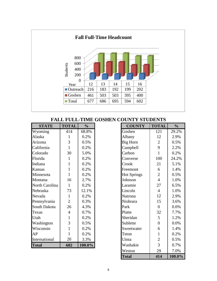

#### **FALL FULL-TIME GOSHEN COUNTY STUDENTS**

| <b>STATE</b>   | <b>TOTAL</b>   | $\frac{1}{2}$ |
|----------------|----------------|---------------|
| Wyoming        | 414            | 68.8%         |
| Alaska         | 1              | 0.2%          |
| Arizona        | 3              | 0.5%          |
| California     | $\mathbf{1}$   | 0.2%          |
| Colorado       | 30             | 5.0%          |
| Florida        | 1              | 0.2%          |
| Indiana        | 1              | 0.2%          |
| Kansas         | 1              | 0.2%          |
| Minnesota      | $\mathbf{1}$   | 0.2%          |
| Montana        | 16             | 2.7%          |
| North Carolina | 1              | 0.2%          |
| Nebraska       | 73             | 12.1%         |
| Nevada         | 1              | 0.2%          |
| Pennsylvania   | $\overline{2}$ | 0.3%          |
| South Dakota   | 26             | 4.3%          |
| Texas          | 4              | $0.7\%$       |
| Utah           | 1              | 0.2%          |
| Washington     | 3              | 0.5%          |
| Wisconsin      | $\mathbf{1}$   | 0.2%          |
| AP             | $\mathbf{1}$   | 0.2%          |
| International  | 20             | 3.3%          |
| <b>Total</b>   | 602            | 100.0%        |

| <b>STATE</b>   | <b>TOTAL</b>   | $\frac{0}{0}$ | <b>COUNTY</b>      | <b>TOTAL</b>     | $\frac{0}{0}$ |
|----------------|----------------|---------------|--------------------|------------------|---------------|
| Wyoming        | 414            | 68.8%         | Goshen             | 121              | 29.2%         |
| Alaska         | 1              | 0.2%          | Albany             | 12               | 2.9%          |
| Arizona        | 3              | 0.5%          | <b>Big Horn</b>    | $\overline{2}$   | 0.5%          |
| California     | $\mathbf{1}$   | 0.2%          | Campbell           | 9                | 2.2%          |
| Colorado       | 30             | 5.0%          | Carbon             | $\mathbf{1}$     | 0.2%          |
| Florida        | 1              | 0.2%          | Converse           | 100              | 24.2%         |
| Indiana        | $\mathbf{1}$   | 0.2%          | Crook              | 21               | 5.1%          |
| <b>Kansas</b>  | $\mathbf{1}$   | 0.2%          | Freemont           | 6                | 1.4%          |
| Minnesota      | $\mathbf{1}$   | 0.2%          | <b>Hot Springs</b> | $\overline{2}$   | 0.5%          |
| Montana        | 16             | 2.7%          | Johnson            | $\overline{4}$   | 1.0%          |
| North Carolina | $\mathbf{1}$   | 0.2%          | Laramie            | 27               | 6.5%          |
| Nebraska       | 73             | 12.1%         | Lincoln            | $\overline{4}$   | 1.0%          |
| Nevada         | $\mathbf{1}$   | 0.2%          | Natrona            | 12               | 2.9%          |
| Pennsylvania   | $\overline{2}$ | 0.3%          | Niobrara           | 15               | 3.6%          |
| South Dakota   | 26             | 4.3%          | Park               | $\overline{0}$   | $0.0\%$       |
| Texas          | $\overline{4}$ | 0.7%          | Platte             | 32               | 7.7%          |
| Utah           | 1              | 0.2%          | Sheridan           | 5                | 1.2%          |
| Washington     | 3              | 0.5%          | Sublette           | $\boldsymbol{0}$ | 0.0%          |
| Wisconsin      | $\mathbf{1}$   | 0.2%          | Sweetwater         | 6                | 1.4%          |
| AP             | $\mathbf{1}$   | 0.2%          | Teton              | $\mathbf{1}$     | 0.2%          |
| International  | 20             | 3.3%          | Uinta              | $\overline{2}$   | 0.5%          |
| <b>Total</b>   | 602            | $100.0\%$     | Washakie           | 3                | 0.7%          |
|                |                |               | Weston             | 29               | 7.0%          |
|                |                |               | <b>Total</b>       | 414              | 100.0%        |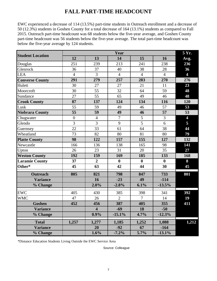## **FALL PART-TIME HEADCOUNT**

EWC experienced a decrease of 114 (13.5%) part-time students in Outreach enrollment and a decrease of 50 (12.3%) students in Goshen County for a total decrease of 164 (13.1%) students as compared to Fall 2015. Outreach part-time headcount was 68 students below the five-year average, and Goshen County part-time headcount was 56 students below the five-year average. The total part-time headcount was below the five-year average by 124 students.

| <b>Student Location</b> |                  |                         | Year           |                |                  | 5 Yr.          |
|-------------------------|------------------|-------------------------|----------------|----------------|------------------|----------------|
|                         | 12               | 13                      | 14             | 15             | 16               | Avg.           |
| Douglas                 | 251              | 239                     | 213            | 241            | 238              | 236            |
| Glenrock                | 36               | 37                      | 40             | 38             | 28               | 36             |
| <b>LEA</b>              | $\overline{4}$   | $\overline{3}$          | $\overline{4}$ | $\overline{4}$ | $\overline{4}$   | $\overline{4}$ |
| <b>Converse County</b>  | 291              | 279                     | 257            | 283            | 270              | 276            |
| Hulett                  | 30               | 27                      | 27             | 21             | 11               | 23             |
| Moorcroft               | 30               | 55                      | 32             | 64             | 59               | 48             |
| Sundance                | $\overline{27}$  | $\overline{55}$         | 65             | 49             | 46               | 48             |
| <b>Crook County</b>     | 87               | 137                     | 124            | 134            | 116              | 120            |
| Lusk                    | 55               | 59                      | 49             | 46             | 57               | 53             |
| <b>Niobrara County</b>  | $\overline{55}$  | 59                      | 49             | 46             | $\overline{57}$  | 53             |
| Chugwater               | $\boldsymbol{0}$ | $\overline{4}$          | $\overline{7}$ | 5              | 3                | $\overline{4}$ |
| Glendo                  | 3                | 3                       | 9              | 5              | 6                | 5              |
| Guernsey                | 22               | 33                      | 61             | 64             | 38               | 44             |
| Wheatland               | 73               | 82                      | 80             | 81             | 80               | 79             |
| <b>Platte County</b>    | 98               | 122                     | 157            | 155            | 127              | 132            |
| Newcastle               | 166              | 136                     | 138            | 165            | 98               | 141            |
| Upton                   | 26               | 23                      | 31             | 20             | 35               | 27             |
| <b>Weston County</b>    | 192              | 159                     | 169            | 185            | 133              | 168            |
| <b>Laramie County</b>   | 37               | $\overline{2}$          | $\bf{0}$       | $\mathbf{0}$   | $\boldsymbol{0}$ | 8              |
| Other*                  | 45               | 63                      | 42             | 44             | 30               | 45             |
| <b>Outreach</b>         | 805              | 821                     | 798            | 847            | 733              | 801            |
| <b>Variance</b>         |                  | 16                      | $-23$          | 49             | $-114$           |                |
| % Change                |                  | 2.0%                    | $-2.8%$        | 6.1%           | $-13.5%$         |                |
| <b>EWC</b>              | 405              | 430                     | 385            | 398            | 341              | 392            |
| <b>WMC</b>              | 47               | 26                      | $\overline{2}$ | $\overline{7}$ | 14               | 19             |
| <b>Goshen</b>           | 452              | 456                     | 387            | 405            | 355              | 411            |
| <b>Variance</b>         |                  | $\overline{\mathbf{4}}$ | $-69$          | 18             | $-50$            |                |
| % Change                |                  | 0.9%                    | $-15.1%$       | 4.7%           | $-12.3%$         |                |
| <b>Total</b>            | 1,257            | 1,277                   | 1,185          | 1,252          | 1,088            | 1,212          |
| <b>Variance</b>         |                  | 20                      | $-92$          | 67             | $-164$           |                |
| % Change                |                  | 1.6%                    | $-7.2%$        | 5.7%           | $-13.1%$         |                |

\*Distance Education Students Living Outside the EWC Service Area

Source: Colleague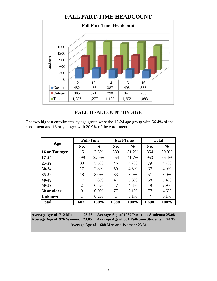#### **FALL PART-TIME HEADCOUNT**



#### **FALL HEADCOUNT BY AGE**

The two highest enrollments by age group were the 17-24 age group with 56.4% of the enrollment and 16 or younger with 20.9% of the enrollment.

|                |                | <b>Full-Time</b> |            | <b>Part-Time</b> | <b>Total</b>   |               |  |
|----------------|----------------|------------------|------------|------------------|----------------|---------------|--|
| Age            | No.            | $\frac{0}{0}$    | No.        | $\frac{0}{0}$    | No.            | $\frac{0}{0}$ |  |
| 16 or Younger  | 15             | 2.5%             | 339        | 31.2%            | 354            | 20.9%         |  |
| $17 - 24$      | 499            | 82.9%            | 454        | 41.7%            | 953            | 56.4%         |  |
| $25 - 29$      | 33             | 5.5%             | 46         | 4.2%             | 79             | 4.7%          |  |
| $30 - 34$      | 17             | 2.8%             | 50<br>4.6% |                  | 67             | 4.0%          |  |
| 35-39          | 18             | 3.0%             | 33         | 3.0%             | 51             | 3.0%          |  |
| 40-49          | 17             | 2.8%             | 41         | 3.8%             | 58             | 3.4%          |  |
| 50-59          | $\overline{2}$ | 0.3%             | 47         | 4.3%             | 49             | 2.9%          |  |
| 60 or older    | 0              | $0.0\%$          | 77         | 7.1%             | 77             | 4.6%          |  |
| <b>Unknown</b> |                | 0.2%             |            | 0.1%             | $\overline{2}$ | 0.1%          |  |
| <b>Total</b>   | 602            | 100%             | 1,088      | 100%             | 1,690          | 100%          |  |

**Average Age of 712 Men: 23.28 Average Age of 976 Women: 23.85 Average Age of 1087 Part-time Students: 25.08 Average Age of 601 Full-time Students: 20.95 Average Age of 1688 Men and Women: 23.61**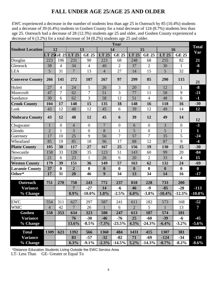## **FALL UNDER AGE 25/AGE 25 AND OLDER**

EWC experienced a decrease in the number of students less than age 25 in Outreach by 85 (10.4%) students and a decrease of 39 (6.4%) students in Goshen County for a total decrease of 124 (8.7%) students less than age 25. Outreach had a decrease of 28 (12.3%) students age 25 and older, and Goshen County experienced a decrease of 6 (3.2%) for a total decrease of 34 (8.2%) students age 25 and older.

|                         |                |                |                  |                  |                  | Year             |                  |                |                  |                | <b>Total</b>   |
|-------------------------|----------------|----------------|------------------|------------------|------------------|------------------|------------------|----------------|------------------|----------------|----------------|
| <b>Student Location</b> |                | 12             |                  | 13               |                  | 14               |                  | 15             |                  | 16             | Var            |
|                         |                |                | LT 25GE 25 LT 25 | <b>GE 25</b>     | LT 25            | <b>GE 25</b>     | LT 25            | <b>GE 25</b>   | LT 25            | <b>GE 25</b>   |                |
| Douglas                 | 223            | 106            | 231              | 90               | 223              | 68               | 248              | 68             | 255              | 82             | 21             |
| Glenrock                | 38             | $\overline{4}$ | 34               | $\overline{4}$   | 40               | $\overline{2}$   | 37               | $\overline{2}$ | 30               | $\mathbf{1}$   | $-8$           |
| <b>LEA</b>              | 5              | 31             | $\overline{7}$   | 13               | $\overline{4}$   | 27               | 14               | 15             | 5                | 32             | 8              |
| <b>Converse County</b>  | 266            | 141            | 272              | 107              | 267              | 97               | 299              | 85             | 290              | 115            | 21             |
| Hulett                  | 27             | $\overline{4}$ | 24               | 5                | 26               | $\overline{3}$   | 20               | $\mathbf{1}$   | 12               | $\mathbf{1}$   | $-8$           |
| Moorcroft               | 47             | 7              | 62               | 7                | 51               | 3                | 77               | 11             | 58               | 9              | $-21$          |
| Sundance                | 30             | 6              | 62               | 3                | 58               | 12               | 51               | $\overline{4}$ | 48               | 6              | $-1$           |
| <b>Crook County</b>     | 104            | 17             | 148              | 15               | 135              | 18               | 148              | 16             | 118              | 16             | $-30$          |
| Lusk                    | 43             | 12             | 48               | 12               | 45               | 6                | 39               | 12             | 49               | 14             | 12             |
| <b>Niobrara County</b>  | 43             | 12             | 48               | 12               | 45               | 6                | 39               | 12             | 49               | 14             | 12             |
| Chugwater               | 1              | $\overline{0}$ | $\overline{4}$   | $\overline{0}$   | $\overline{7}$   | $\overline{0}$   | 6                | $\overline{0}$ | $\overline{3}$   | $\overline{0}$ | $-3$           |
| Glendo                  | $\overline{2}$ | $\mathbf{1}$   | 3                | $\boldsymbol{0}$ | 8                | $\mathbf{1}$     | 5                | $\overline{0}$ | 5                | $\mathbf{1}$   | 1              |
| Guernsey                | 17             | 10             | 25               | 9                | 56               | $\overline{7}$   | 57               | $\overline{7}$ | 35               | 5              | $-24$          |
| Wheatland               | 85             | 19             | 85               | 18               | 96               | 17               | 88               | 12             | 87               | 9              | $-4$           |
| <b>Platte County</b>    | 105            | 30             | 117              | 27               | 167              | 25               | 156              | 19             | 130              | 15             | $-30$          |
| Newcastle               | 158            | 33             | 128              | 35               | 123              | 51               | 143              | 60             | 99               | 20             | $-84$          |
| Upton                   | 21             | 6              | 23               | 1                | 26               | 6                | 20               | $\overline{2}$ | 33               | $\overline{4}$ | 15             |
| <b>Weston County</b>    | 179            | 39             | 151              | 36               | 149              | 57               | 163              | 62             | 132              | 24             | $-69$          |
| <b>Laramie County</b>   | 37             | $\bf{0}$       | $\overline{2}$   | $\bf{0}$         | $\boldsymbol{0}$ | $\boldsymbol{0}$ | $\boldsymbol{0}$ | $\bf{0}$       | $\boldsymbol{0}$ | $\bf{0}$       | $\bf{0}$       |
| Other*                  | 17             | 31             | 20               | 46               | $\boldsymbol{9}$ | 34               | 13               | 34             | 14               | 16             | $-17$          |
| Outreach                | 751            | 270            | 758              | 243              | 772              | 237              | 818              | 228            | 733              | 200            |                |
| <b>Variance</b>         |                |                | $\overline{7}$   | $-27$            | 14               | $-6$             | 46               | $-9$           | $-85$            | $-28$          | $-113$         |
| % Change                |                |                | 0.9%             | $-10.0\%$        | 1.8%             | $-2.5%$          | 6.0%             | $-3.8%$        | $-10.4%$         | $-12.3%$       | $-10.8\%$      |
|                         |                |                |                  |                  |                  |                  |                  |                |                  |                |                |
| EWC                     | 554            | 311            | 627              | 297              | 587              | 241              | 611              | 182            | 573              | 168            | $-52$          |
| <b>WMC</b>              | $\overline{4}$ | 42             | $\overline{7}$   | 26               | $\mathbf{1}$     | 6                | $\overline{2}$   | 5              | $\mathbf{1}$     | 13             | $\overline{7}$ |
| <b>Goshen</b>           | 558            | 353            | 634              | 323              | 588              | 247              | 613              | 187            | 574              | 181            |                |
| <b>Variance</b>         |                |                | 76               | $-30$            | $-46$            | $-76$            | 25               | $-60$          | $-39$            | $-6$           | $-45$          |
| % Change                |                |                | 13.6%            | $-8.5\%$         | $-7.3%$          | $-23.5%$         | 4.3%             | $-24.3%$       | $-6.4%$          | $-3.2%$        | $-5.6\%$       |
| <b>Total</b>            | 1309           | 623            | 1392             | 566              | 1360             | 484              | 1431             | 415            | 1307             | 381            |                |
| <b>Variance</b>         |                |                | 83               | $-57$            | $-32$            | $-82$            | 71               | -69            | $-124$           | $-34$          | $-158$         |
| % Change                |                |                | 6.3%             | $-9.1\%$         | $-2.3%$          | $-14.5%$         | 5.2%             | $-14.3%$       | $-8.7%$          | $-8.2\%$       | $-8.6\%$       |

\*Distance Education Students Living Outside the EWC Service Area

LT- Less Than GE- Greater or Equal To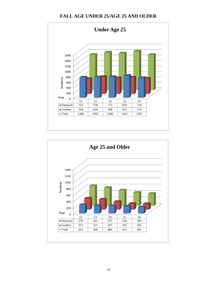#### **FALL AGE UNDER 25/AGE 25 AND OLDER**



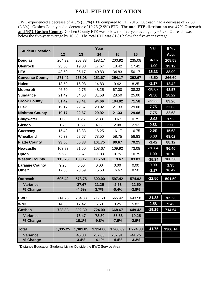#### **FALL FTE BY LOCATION**

EWC experienced a decrease of 41.75 (3.3%) FTE compared to Fall 2015. Outreach had a decrease of 22.50 (3.8%). Goshen County had a decrease of 19.25 (2.9%) FTE. **The total FTE distribution was 47% Outreach and 53% Goshen County**. Goshen County FTE was below the five-year average by 65.23. Outreach was below the five-year average by 16.58. The total FTE was 81.81 below the five-year average.

|        |                                       | Year                                                            |                                                                         |                                                                         | Var                                                                     | 5 Yr.                        |
|--------|---------------------------------------|-----------------------------------------------------------------|-------------------------------------------------------------------------|-------------------------------------------------------------------------|-------------------------------------------------------------------------|------------------------------|
| 12     | 13                                    | 14                                                              | 15                                                                      | 16                                                                      |                                                                         | Avg.                         |
| 204.92 | 208.83                                | 193.17                                                          | 200.92                                                                  | 235.08                                                                  | 34.16                                                                   | 208.58                       |
| 23.00  | 19.08                                 | 17.67                                                           | 18.42                                                                   | 17.42                                                                   | $-1.00$                                                                 | 19.12                        |
| 43.50  | 25.17                                 | 40.83                                                           | 34.83                                                                   | 50.17                                                                   | 15.33                                                                   | 38.90                        |
| 271.42 | 253.08                                | 251.67                                                          | 254.17                                                                  | 302.67                                                                  | 48.50                                                                   | 266.60                       |
| 13.50  | 16.08                                 | 14.83                                                           | 9.42                                                                    | 8.25                                                                    | $-1.17$                                                                 | 12.42                        |
| 46.50  | 42.75                                 | 48.25                                                           | 67.00                                                                   | 38.33                                                                   | $-28.67$                                                                | 48.57                        |
| 21.42  | 34.58                                 | 31.58                                                           | 28.50                                                                   | 25.00                                                                   | $-3.50$                                                                 | 28.22                        |
| 81.42  | 93.41                                 | 94.66                                                           | 104.92                                                                  | 71.58                                                                   | $-33.33$                                                                | 89.20                        |
| 19.17  | 22.67                                 | 20.92                                                           | 21.33                                                                   | 29.08                                                                   | 7.75                                                                    | 22.63                        |
| 19.17  | 22.67                                 | 20.92                                                           | 21.33                                                                   | 29.08                                                                   | 7.75                                                                    | 22.63                        |
| 1.08   | 1.25                                  | 2.83                                                            | 3.67                                                                    | 0.75                                                                    | $-2.92$                                                                 | 1.92                         |
| 1.75   | 1.58                                  | 4.17                                                            | 2.08                                                                    | 2.92                                                                    | 0.83                                                                    | 2.50                         |
| 15.42  | 13.83                                 | 16.25                                                           | 16.17                                                                   | 16.75                                                                   | 0.58                                                                    | 15.68                        |
| 75.33  | 68.67                                 | 78.50                                                           | 58.75                                                                   | 58.83                                                                   | 0.08                                                                    | 68.02                        |
| 93.58  | 85.33                                 | 101.75                                                          | 80.67                                                                   | 79.25                                                                   | $-1.42$                                                                 | 88.12                        |
| 103.83 | 91.50                                 | 103.67                                                          | 109.92                                                                  | 73.08                                                                   | $-36.84$                                                                | 96.40                        |
| 9.92   | 8.67                                  | 11.83                                                           | 9.75                                                                    | 10.75                                                                   | 1.00                                                                    | 10.18                        |
| 113.75 | 100.17                                | 115.50                                                          | 119.67                                                                  | 83.83                                                                   | $-35.84$                                                                | 106.58                       |
| 9.25   | 0.50                                  | 0.00                                                            | 0.00                                                                    | 0.00                                                                    | 0.00                                                                    | 1.95                         |
| 17.83  | 23.59                                 | 15.50                                                           | 16.67                                                                   | 8.50                                                                    | $-8.17$                                                                 | 16.42                        |
| 606.42 | 578.75                                | 600.00                                                          | 597.42                                                                  | 574.92                                                                  | $-22.50$                                                                | 591.50                       |
|        | $-27.67$                              | 21.25                                                           | $-2.58$                                                                 | $-22.50$                                                                |                                                                         |                              |
|        | $-4.6%$                               | 3.7%                                                            | $-0.4%$                                                                 | $-3.8%$                                                                 |                                                                         |                              |
|        |                                       |                                                                 |                                                                         |                                                                         |                                                                         | 705.23                       |
|        |                                       |                                                                 |                                                                         |                                                                         |                                                                         | 9.42                         |
|        |                                       |                                                                 |                                                                         |                                                                         | $-19.25$                                                                | 714.64                       |
|        |                                       |                                                                 |                                                                         |                                                                         |                                                                         |                              |
|        | 10.1%                                 | $-9.8%$                                                         | $-7.6%$                                                                 | $-2.9%$                                                                 |                                                                         |                              |
|        |                                       |                                                                 |                                                                         |                                                                         |                                                                         |                              |
|        |                                       |                                                                 |                                                                         |                                                                         |                                                                         | 1306.14                      |
|        |                                       |                                                                 |                                                                         |                                                                         |                                                                         |                              |
|        | 714.75<br>14.08<br>728.83<br>1,335.25 | 784.88<br>17.42<br>802.30<br>73.47<br>1,381.05<br>45.80<br>3.4% | 717.50<br>6.50<br>724.00<br>$-78.30$<br>1,324.00<br>$-57.05$<br>$-4.1%$ | 665.42<br>3.25<br>668.67<br>$-55.33$<br>1,266.09<br>$-57.91$<br>$-4.4%$ | 643.58<br>5.83<br>649.42<br>$-19.25$<br>1,224.33<br>$-41.75$<br>$-3.3%$ | $-21.83$<br>2.58<br>$-41.75$ |

\*Distance Education Students Living Outside the EWC Service Area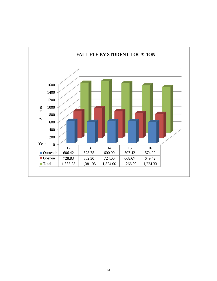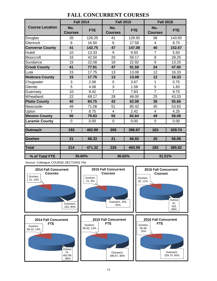|                        | <b>Fall 2014</b>      |            | <b>Fall 2015</b>        |            | <b>Fall 2016</b>      |            |  |
|------------------------|-----------------------|------------|-------------------------|------------|-----------------------|------------|--|
| <b>Course Location</b> | No.<br><b>Courses</b> | <b>FTE</b> | No.<br><b>Courses</b>   | <b>FTE</b> | No.<br><b>Courses</b> | <b>FTE</b> |  |
| Douglas                | 35                    | 126.25     | 41                      | 129.50     | 36                    | 143.92     |  |
| Glenrock               | 6                     | 16.50      | 6                       | 17.58      | $\overline{4}$        | 8.75       |  |
| <b>Converse County</b> | 41                    | 142.75     | 47                      | 147.08     | 40                    | 152.67     |  |
| Hulett                 | 10                    | 13.33      | 9                       | 9.50       | $\overline{7}$        | 5.50       |  |
| Moorcroft              | 16                    | 42.50      | 20                      | 59.17      | 8                     | 28.25      |  |
| Sundance               | 15                    | 22.08      | 18                      | 22.92      | 9                     | 13.25      |  |
| <b>Crook County</b>    | 41                    | 77.91      | 47                      | 91.59      | 24                    | 47.00      |  |
| Lusk                   | 15                    | 17.75      | 13                      | 13.08      | 12                    | 16.33      |  |
| <b>Niobrara County</b> | 15                    | 17.75      | 13                      | 13.08      | 12                    | 16.33      |  |
| Chugwater              | 3                     | 2.08       | 5                       | 3.67       | 1                     | 0.75       |  |
| Glendo                 | $\overline{5}$        | 4.08       | $\overline{3}$          | 1.58       | $\overline{5}$        | 1.83       |  |
| Guernsey               | 10                    | 9.42       | $\overline{7}$          | 7.83       | $\overline{7}$        | 9.75       |  |
| Wheatland              | 22                    | 69.17      | 28                      | 49.00      | 25                    | 43.33      |  |
| <b>Platte County</b>   | 40                    | 84.75      | 43                      | 62.08      | 38                    | 55.66      |  |
| Newcastle              | 49                    | 71.08      | 51                      | 80.42      | 45                    | 53.83      |  |
| Upton                  | $\overline{7}$        | 8.75       | $\overline{\mathbf{4}}$ | 2.42       | $\overline{4}$        | 4.25       |  |
| <b>Weston County</b>   | 56                    | 79.83      | 55                      | 82.84      | 49                    | 58.08      |  |
| Laramie County         | 0                     | 0.00       | 0                       | 0.00       | $\Omega$              | 0.00       |  |
| <b>Outreach</b>        | 193                   | 402.99     | 205                     | 396.67     | 163                   | 329.74     |  |
| Goshen                 | 21                    | 68.33      | 21                      | 66.92      | 20                    | 56.08      |  |
| <b>Total</b>           | 214                   | 471.32     | 226                     | 463.59     | 183                   | 385.82     |  |
| % of Total FTE         | 35.60%                |            | 36.62%                  |            | 31.51%                |            |  |

#### **FALL CONCURRENT COURSES**

Source: Colleague COURSE.SECTIONS File

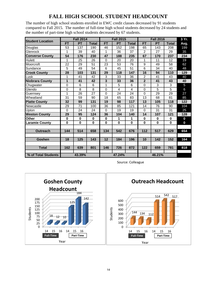# **FALL HIGH SCHOOL STUDENT HEADCOUNT**

The number of high school students enrolled in EWC credit classes decreased by 91 students compared to Fall 2015. The number of full-time high school students decreased by 24 students and the number of part-time high school students decreased by 67 students.

| <b>Student Location</b> | <b>Fall 2014</b> |             |              |              | <b>Fall 2015</b> |              |                | <b>Fall 2016</b> |                |                |  |
|-------------------------|------------------|-------------|--------------|--------------|------------------|--------------|----------------|------------------|----------------|----------------|--|
|                         | <b>FT</b>        | <b>PT</b>   | <b>Total</b> | <b>FT</b>    | <b>PT</b>        | <b>Total</b> | <b>FT</b>      | <b>PT</b>        | <b>Total</b>   | Avg.           |  |
| Douglas                 | 53               | 137         | 190          | 46           | 152              | 198          | 65             | 143              | 208            | 199            |  |
| Glenrock                | 1                | 39          | 40           | 1            | 36               | 37           | $\overline{c}$ | 27               | 29             | 35             |  |
| <b>Converse County</b>  | 54               | 176         | 230          | 47           | 188              | 235          | 67             | 170              | 237            | 234            |  |
| Hulett                  | 1                | 25          | 26           | 0            | 20               | 20           | 1              | 11               | 12             | 19             |  |
| Moorcroft               | 22               | 29          | 51           | 23           | 53               | 76           | 9              | 49               | 58             | 62             |  |
| Sundance                | 5                | 49          | 54           | 6            | 45               | 51           | $\overline{6}$ | 34               | 40             | 48             |  |
| <b>Crook County</b>     | 28               | 103         | 131          | 29           | 118              | 147          | 16             | 94               | 110            | 129            |  |
| Lusk                    | 1                | 41          | 42           | 3            | 33               | 36           | $\overline{2}$ | 41               | 43             | 40             |  |
| <b>Niobrara County</b>  | 1                | 41          | 42           | 3            | 33               | 36           | $\mathbf{2}$   | 41               | 43             | 40             |  |
| Chugwater               | $\mathbf 0$      | 6           | 6            | $\mathbf{1}$ | 5                | 6            | $\mathbf 0$    | $\mathbf{3}$     | 3              | $\overline{5}$ |  |
| Glendo                  | 0                | 8           | 8            | 0            | 4                | 4            | $\Omega$       | 5                | $\overline{5}$ | $\,6$          |  |
| Guernsey                | 1                | 26          | 27           | $\Omega$     | 24               | 24           | $\Omega$       | 29               | 29             | 27             |  |
| Wheatland               | 31               | 59          | 90           | 18           | 65               | 83           | 13             | 68               | 81             | 85             |  |
| <b>Platte County</b>    | 32               | 99          | 131          | 19           | 98               | 117          | 13             | 105              | 118            | 122            |  |
| Newcastle               | 29               | 71          | 100          | 36           | 85               | 121          | 14             | 76               | 90             | 104            |  |
| Upton                   | 0                | 24          | 24           | $\mathbf 0$  | 19               | 19           | $\Omega$       | 31               | 31             | 25             |  |
| <b>Weston County</b>    | 29               | 95          | 124          | 36           | 104              | 140          | 14             | 107              | 121            | 128            |  |
| <b>Other</b>            | $\mathbf 0$      | $\mathbf 0$ | $\bf{0}$     | $\bf{0}$     | 1                | 1            | $\mathbf 0$    | $\bf{0}$         | $\bf{0}$       | $\mathbf 0$    |  |
| <b>Laramie County</b>   | $\mathbf 0$      | $\bf{0}$    | $\bf{0}$     | $\bf{0}$     | $\mathbf 0$      | 0            | $\mathbf 0$    | $\bf{0}$         | $\bf{0}$       | $\mathbf 0$    |  |
|                         |                  |             |              |              |                  |              |                |                  |                |                |  |
| <b>Outreach</b>         | 144              | 514         | 658          | 134          | 542              | 676          | 112            | 517              | 629            | 654            |  |
|                         |                  |             |              |              |                  |              |                |                  |                |                |  |
| Goshen                  | 18               | 125         | 143          | 12           | 184              | 196          | 10             | 142              | 152            | 164            |  |
|                         |                  |             |              |              |                  |              |                |                  |                |                |  |
| <b>Total</b>            | 162              | 639         | 801          | 146          | 726              | 872          | 122            | 659              | 781            | 818            |  |
|                         |                  |             |              |              |                  |              |                |                  |                |                |  |
| % of Total Students     |                  | 43.39%      |              |              | 47.24%           |              |                | 46.21%           |                |                |  |

Source: Colleague

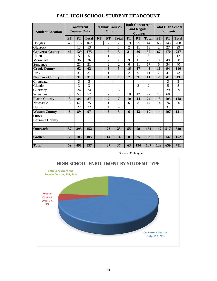| <b>Student Location</b> |                | <b>Concurrent</b><br><b>Courses Only</b> |                 | <b>Regular Courses</b><br>Only |                 |                 | <b>Both Concurrent</b><br>and Regular<br><b>Courses</b> |                  |                 | <b>Total High School</b><br><b>Students</b> |           |                 |
|-------------------------|----------------|------------------------------------------|-----------------|--------------------------------|-----------------|-----------------|---------------------------------------------------------|------------------|-----------------|---------------------------------------------|-----------|-----------------|
|                         | FT             | <b>PT</b>                                | <b>Total</b>    | <b>FT</b>                      | <b>PT</b>       | <b>Total</b>    | FT                                                      | <b>PT</b>        | <b>Total</b>    | FT                                          | <b>PT</b> | <b>Total</b>    |
| Douglas                 | 46             | 116                                      | 162             |                                | $\overline{c}$  | $\overline{2}$  | 19                                                      | 25               | 44              | 65                                          | 143       | 208             |
| Glenrock                |                | 13                                       | 13              |                                | 3               | 3               | $\overline{2}$                                          | 11               | 13              | $\overline{2}$                              | 27        | 29              |
| <b>Converse County</b>  | 46             | 129                                      | 175             |                                | 5               | 5               | 21                                                      | 36               | 57              | 67                                          | 170       | 237             |
| Hulett                  |                | 5                                        | 5               |                                | 1               | 1               | 1                                                       | 5                | 6               | 1                                           | 11        | 12              |
| Moorcroft               |                | 36                                       | 36              |                                | $\overline{c}$  | 2               | 9                                                       | 11               | 20              | 9                                           | 49        | 58              |
| Sundance                |                | 21                                       | 21              |                                | $\overline{2}$  | $\overline{2}$  | 6                                                       | 11               | 17              | 6                                           | 34        | 40              |
| <b>Crook County</b>     |                | 62                                       | 62              |                                | 5               | 5               | 16                                                      | 27               | 43              | 16                                          | 94        | 110             |
| Lusk                    |                | 31                                       | 31              |                                | 1               | 1               | $\overline{2}$                                          | 9                | 11              | $\overline{c}$                              | 41        | 43              |
| <b>Niobrara County</b>  |                | 31                                       | $\overline{31}$ |                                | $\mathbf{1}$    | $\mathbf{1}$    | $\overline{2}$                                          | $\boldsymbol{9}$ | $\overline{11}$ | $\overline{2}$                              | 41        | 43              |
| Chugwater               |                | 3                                        | 3               |                                |                 |                 |                                                         |                  |                 |                                             | 3         | 3               |
| Glendo                  |                | $\overline{3}$                           | $\overline{3}$  |                                |                 |                 |                                                         | $\overline{2}$   | $\overline{2}$  |                                             | 5         | $\overline{5}$  |
| Guernsey                |                | 24                                       | $\overline{24}$ |                                | 5               | 5               |                                                         |                  |                 |                                             | 29        | $\overline{29}$ |
| Wheatland               | 3              | 54                                       | $\overline{57}$ |                                | $\overline{c}$  | $\overline{2}$  | 10                                                      | 12               | 22              | 13                                          | 68        | 81              |
| <b>Platte County</b>    | 3              | 84                                       | 87              |                                | 7               | 7               | 10                                                      | 14               | 24              | 13                                          | 105       | 118             |
| Newcastle               | 8              | 67                                       | 75              |                                | 1               | 1               | 6                                                       | 8                | 14              | 14                                          | 76        | 90              |
| Upton                   |                | 22                                       | 22              |                                | 4               | 4               |                                                         | 5                | 5               |                                             | 31        | 31              |
| <b>Weston County</b>    | 8              | 89                                       | 97              |                                | 5               | 5               | 6                                                       | 13               | 19              | 14                                          | 107       | 121             |
| Other                   |                |                                          |                 |                                |                 |                 |                                                         |                  |                 |                                             |           |                 |
| <b>Laramie County</b>   |                |                                          |                 |                                |                 |                 |                                                         |                  |                 |                                             |           |                 |
|                         |                |                                          |                 |                                |                 |                 |                                                         |                  |                 |                                             |           |                 |
| Outreach                | 57             | 395                                      | 452             |                                | 23              | 23              | $\overline{55}$                                         | 99               | 154             | 112                                         | 517       | 629             |
|                         |                |                                          |                 |                                |                 |                 |                                                         |                  |                 |                                             |           |                 |
| <b>Goshen</b>           | $\overline{2}$ | 103                                      | 105             |                                | 14              | 14              | $\overline{\bf 8}$                                      | $\overline{25}$  | $\overline{33}$ | 10                                          | 142       | 152             |
| <b>Total</b>            | 59             | 498                                      | 557             |                                | $\overline{37}$ | $\overline{37}$ | 63                                                      | 124              | 187             | 122                                         | 659       | 781             |
|                         |                |                                          |                 |                                |                 |                 |                                                         |                  |                 |                                             |           |                 |

#### **FALL HIGH SCHOOL STUDENT HEADCOUNT**



Source: Colleague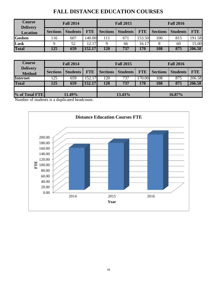# **FALL DISTANCE EDUCATION COURSES**

| <b>Course</b>   | <b>Fall 2014</b><br><b>Delivery</b> |                 |            |                 | <b>Fall 2015</b> |            | <b>Fall 2016</b> |                 |            |  |
|-----------------|-------------------------------------|-----------------|------------|-----------------|------------------|------------|------------------|-----------------|------------|--|
| <b>Location</b> | <b>Sections</b>                     | <b>Students</b> | <b>FTE</b> | <b>Sections</b> | Students         | <b>FTE</b> | <b>Sections</b>  | <b>Students</b> | <b>FTE</b> |  |
| <b>Goshen</b>   | 116                                 | 607             | 140.00     | 111             | 671              | 153.50     | 100              | 815             | 191.58     |  |
| Lusk            |                                     | 52              | 12.17      |                 | 66               | 16.17      |                  | 60              | 15.00      |  |
| <b>Total</b>    | 125                                 | 659             | 152.17     | 120             | 737              | 170        | 108              | 875             | 206.58     |  |

| <b>Course</b>                    |                 | <b>Fall 2014</b> |            |          | <b>Fall 2015</b> |            | <b>Fall 2016</b> |                 |            |  |
|----------------------------------|-----------------|------------------|------------|----------|------------------|------------|------------------|-----------------|------------|--|
| <b>Delivery</b><br><b>Method</b> | <b>Sections</b> | Students         | <b>FTE</b> | Sections | <b>Students</b>  | <b>FTE</b> | <b>Sections</b>  | <b>Students</b> | <b>FTE</b> |  |
| <b>Internet</b>                  | 125             | 659              | 152.17     | 120      | 737              | 170.00     | 108              | 875             | 206.58     |  |
| <b>Total</b>                     | 125             | 659              | 152.17     | 120      | 737              | 170        | 108              | 875             | 206.58     |  |
|                                  |                 |                  |            |          |                  |            |                  |                 |            |  |
| % of Total FTE                   | 11.49%          |                  |            |          | 13.43%           |            | 16.87%           |                 |            |  |

Number of students is a duplicated headcount.

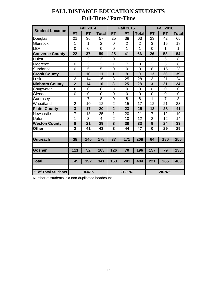|                         |                | <b>Fall 2014</b> |                |                | <b>Fall 2015</b> |                |                | <b>Fall 2016</b> |                |
|-------------------------|----------------|------------------|----------------|----------------|------------------|----------------|----------------|------------------|----------------|
| <b>Student Location</b> | <b>FT</b>      | <b>PT</b>        | <b>Total</b>   | <b>FT</b>      | <b>PT</b>        | <b>Total</b>   | <b>FT</b>      | <b>PT</b>        | <b>Total</b>   |
| Douglas                 | 21             | 36               | 57             | 25             | 38               | 63             | 23             | 42               | 65             |
| Glenrock                | 1              | 1                | $\overline{2}$ | $\mathbf 0$    | $\overline{2}$   | 2              | 3              | 15               | 18             |
| <b>LEA</b>              | $\overline{0}$ | 0                | $\overline{0}$ | $\overline{0}$ | 1                | 1              | $\overline{0}$ | 1                | 1              |
| <b>Converse County</b>  | 22             | 37               | 59             | 25             | 41               | 66             | 26             | 58               | 84             |
| <b>Hulett</b>           | 1              | $\overline{2}$   | 3              | $\mathbf 0$    | 1                | 1              | $\overline{2}$ | 6                | 8              |
| Moorcroft               | $\overline{0}$ | 3                | 3              | $\mathbf{1}$   | $\overline{7}$   | 8              | 3              | 5                | 8              |
| Sundance                | $\overline{0}$ | $\overline{5}$   | 5              | $\mathbf 0$    | $\mathbf 0$      | $\overline{0}$ | 8              | 15               | 23             |
| <b>Crook County</b>     | 1              | 10               | 11             | 1              | 8                | 9              | 13             | 26               | 39             |
| Lusk                    | $\overline{2}$ | 14               | 16             | 3              | 25               | 28             | 3              | 21               | 24             |
| <b>Niobrara County</b>  | $\overline{2}$ | 14               | 16             | 3              | 25               | 28             | 3              | 21               | 24             |
| Chugwater               | $\mathbf 0$    | 0                | $\mathbf 0$    | $\overline{0}$ | $\mathbf 0$      | 0              | $\overline{0}$ | $\overline{0}$   | 0              |
| Glendo                  | $\overline{0}$ | $\overline{0}$   | $\overline{0}$ | $\overline{0}$ | $\overline{0}$   | $\overline{0}$ | $\overline{0}$ | $\overline{0}$   | $\overline{0}$ |
| Guernsey                | 1              | $\overline{7}$   | 8              | $\overline{0}$ | 8                | 8              | 1              | $\overline{7}$   | 8              |
| Wheatland               | $\overline{2}$ | 10               | 12             | $\overline{2}$ | 15               | 17             | 12             | 21               | 33             |
| <b>Platte County</b>    | $\overline{3}$ | 17               | 20             | $\overline{2}$ | 23               | 25             | 13             | 28               | 41             |
| Newcastle               | $\overline{7}$ | 18               | 25             | 1              | 20               | 21             | $\overline{7}$ | 12               | 19             |
| Upton                   | $\overline{1}$ | 3                | $\overline{4}$ | $\overline{2}$ | 10               | 12             | $\overline{2}$ | 12               | 14             |
| <b>Weston County</b>    | 8              | 21               | 29             | 3              | 30               | 33             | 9              | 24               | 33             |
| Other                   | $\overline{2}$ | 41               | 43             | 3              | 44               | 47             | $\mathbf 0$    | 29               | 29             |
|                         |                |                  |                |                |                  |                |                |                  |                |
| <b>Outreach</b>         | 38             | 140              | 178            | 37             | 171              | 208            | 64             | 186              | 250            |
|                         |                |                  |                |                |                  |                |                |                  |                |
| Goshen                  | 111            | $\overline{52}$  | 163            | 126            | 70               | 196            | 157            | 79               | 236            |
|                         |                |                  |                |                |                  |                |                |                  |                |
| <b>Total</b>            | 149            | 192              | 341            | 163            | 241              | 404            | 221            | 265              | 486            |
|                         |                |                  |                |                |                  |                |                |                  |                |
| % of Total Students     | 18.47%         |                  |                |                | 21.89%           |                | 28.76%         |                  |                |

# **FALL DISTANCE EDUCATION STUDENTS Full-Time / Part-Time**

Number of students is a non-duplicated headcount.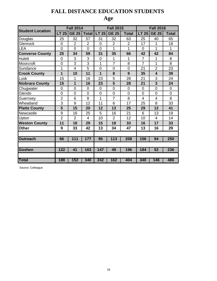# **FALL DISTANCE EDUCATION STUDENTS**

# **Age**

|                         |                | <b>Fall 2014</b> |                |                | <b>Fall 2015</b> |                | <b>Fall 2016</b> |                         |                |  |
|-------------------------|----------------|------------------|----------------|----------------|------------------|----------------|------------------|-------------------------|----------------|--|
| <b>Student Location</b> | <b>LT 25</b>   | <b>GE 25</b>     | <b>Total</b>   | <b>LT 25</b>   | <b>GE 25</b>     | <b>Total</b>   | <b>LT 25</b>     | <b>GE 25</b>            | <b>Total</b>   |  |
| Douglas                 | 25             | 32               | 57             | 31             | 32               | 63             | 25               | 40                      | 65             |  |
| Glenrock                | $\overline{0}$ | $\overline{2}$   | $\overline{2}$ | $\overline{0}$ | $\overline{2}$   | $\overline{2}$ | 17               | 1                       | 18             |  |
| LEA                     | $\overline{0}$ | $\overline{0}$   | $\overline{0}$ | $\overline{0}$ | 1                | 1              | 0                | 1                       | 1              |  |
| <b>Converse County</b>  | 25             | 34               | 59             | 31             | 35               | 66             | 42               | 42                      | 84             |  |
| <b>Hulett</b>           | $\overline{0}$ | 3                | 3              | $\overline{0}$ | 1                | 1              | $\overline{7}$   | 1                       | 8              |  |
| Moorcroft               | $\overline{0}$ | 3                | 3              | 1              | $\overline{7}$   | 8              | $\overline{7}$   | 1                       | 8              |  |
| Sundance                | 1              | $\overline{4}$   | 5              | $\overline{0}$ | $\overline{0}$   | $\overline{0}$ | 21               | $\overline{2}$          | 23             |  |
| <b>Crook County</b>     | 1              | 10               | 11             | 1              | 8                | 9              | 35               | $\overline{\mathbf{4}}$ | 39             |  |
| Lusk                    | 15             | 1                | 16             | 23             | 5                | 28             | 21               | 3                       | 24             |  |
| <b>Niobrara County</b>  | 15             | 1                | 16             | 23             | 5                | 28             | 21               | 3                       | 24             |  |
| Chugwater               | $\overline{0}$ | $\overline{0}$   | $\overline{0}$ | $\overline{0}$ | $\overline{0}$   | $\overline{0}$ | 0                | $\overline{0}$          | $\overline{0}$ |  |
| Glendo                  | 0              | $\overline{0}$   | 0              | 0              | 0                | $\overline{0}$ | 0                | $\mathbf 0$             | 0              |  |
| Guernsey                | $\overline{2}$ | 6                | 8              | 1              | $\overline{7}$   | 8              | 4                | $\overline{4}$          | 8              |  |
| Wheatland               | 3              | 9                | 12             | 11             | 6                | 17             | 25               | 8                       | 33             |  |
| <b>Platte County</b>    | 5              | 15               | 20             | 12             | 13               | 25             | 29               | 12                      | 41             |  |
| Newcastle               | 9              | 16               | 25             | 5              | 16               | 21             | 6                | 13                      | 19             |  |
| Upton                   | $\overline{2}$ | $\overline{2}$   | 4              | 10             | $\overline{2}$   | 12             | 10               | $\overline{4}$          | 14             |  |
| <b>Weston County</b>    | 11             | 18               | 29             | 15             | 18               | 33             | 16               | 17                      | 33             |  |
| <b>Other</b>            | 9              | 33               | 42             | 13             | 34               | 47             | 13               | 16                      | 29             |  |
|                         |                |                  |                |                |                  |                |                  |                         |                |  |
| <b>Outreach</b>         | 66             | $\overline{111}$ | 177            | 95             | 113              | 208            | 156              | 94                      | 250            |  |
|                         |                |                  |                |                |                  |                |                  |                         |                |  |
| <b>Goshen</b>           | 122            | 41               | 163            | 147            | 49               | 196            | 184              | 52                      | 236            |  |
|                         |                |                  |                |                |                  |                |                  |                         |                |  |
| <b>Total</b>            | 188            | 152              | 340            | 242            | 162              | 404            | 340              | 146                     | 486            |  |

Source: Colleague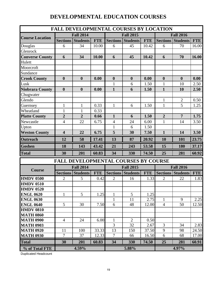# **DEVELOPMENTAL EDUCATION COURSES**

|                        |                         |                          |            | <b>FALL DEVELOPMENTAL COURSES BY LOCATION</b> |                                             |            |                  |                       |            |
|------------------------|-------------------------|--------------------------|------------|-----------------------------------------------|---------------------------------------------|------------|------------------|-----------------------|------------|
| <b>Course Location</b> |                         | <b>Fall 2014</b>         |            |                                               | <b>Fall 2015</b>                            |            |                  | <b>Fall 2016</b>      |            |
|                        | <b>Sections</b>         | <b>Students</b>          | <b>FTE</b> |                                               | <b>Sections Students</b>                    | <b>FTE</b> | <b>Sections</b>  | <b>Students</b>       | <b>FTE</b> |
| Douglas                | 6                       | 34                       | 10.00      | 6                                             | 45                                          | 10.42      | 6                | 70                    | 16.00      |
| Glenrock               |                         |                          |            |                                               |                                             |            |                  |                       |            |
| <b>Converse County</b> | 6                       | 34                       | 10.00      | 6                                             | 45                                          | 10.42      | 6                | 70                    | 16.00      |
| Hulett                 |                         |                          |            |                                               |                                             |            |                  |                       |            |
| Moorcroft              |                         |                          |            |                                               |                                             |            |                  |                       |            |
| Sundance               |                         |                          |            |                                               |                                             |            |                  |                       |            |
| <b>Crook County</b>    | $\boldsymbol{0}$        | $\bf{0}$                 | 0.00       | $\boldsymbol{0}$                              | $\boldsymbol{0}$                            | 0.00       | $\boldsymbol{0}$ | $\boldsymbol{0}$      | 0.00       |
| Lusk                   |                         |                          |            | $\mathbf{1}$                                  | 6                                           | 1.50       | $\mathbf{1}$     | 10                    | 2.50       |
| Niobrara County        | $\boldsymbol{0}$        | $\boldsymbol{0}$         | 0.00       | $\mathbf{1}$                                  | 6                                           | 1.50       | $\mathbf{1}$     | 10                    | 2.50       |
| Chugwater              |                         |                          |            |                                               |                                             |            |                  |                       |            |
| Glendo                 |                         |                          |            |                                               |                                             |            | $\mathbf{1}$     | $\overline{2}$        | 0.50       |
| Guernsey               | $\mathbf{1}$            | $\mathbf{1}$             | 0.33       | $\mathbf{1}$                                  | 6                                           | 1.50       | $\mathbf{1}$     | 5                     | 1.25       |
| Wheatland              | $\mathbf{1}$            | $\mathbf{1}$             | 0.33       |                                               |                                             |            |                  |                       |            |
| <b>Platte County</b>   | $\overline{2}$          | $\overline{2}$           | 0.66       | $\mathbf{1}$                                  | 6                                           | 1.50       | $\overline{2}$   | $\overline{7}$        | 1.75       |
| Newcastle              | $\overline{4}$          | 22                       | 6.75       | $\overline{4}$                                | 24                                          | 6.00       | $\mathbf{1}$     | 14                    | 3.50       |
| Upton                  |                         |                          |            | $\mathbf{1}$                                  | 6                                           | 1.50       |                  |                       |            |
| <b>Weston County</b>   | $\overline{\mathbf{4}}$ | 22                       | 6.75       | 5                                             | 30                                          | 7.50       | $\mathbf{1}$     | 14                    | 3.50       |
| <b>Outreach</b>        | 12                      | 58                       | 17.41      | 13                                            | 87                                          | 20.92      | 10               | 101                   | 23.75      |
| Goshen                 | 18                      | 143                      | 43.42      | 21                                            | 243                                         | 53.58      | 15               | 180                   | 37.17      |
| <b>Total</b>           | 30                      | 201                      | 60.83      | 34                                            | 330                                         | 74.50      | 25               | 281                   | 60.92      |
|                        |                         |                          |            |                                               | <b>FALL DEVELOPMENTAL COURSES BY COURSE</b> |            |                  |                       |            |
|                        |                         | <b>Fall 2014</b>         |            |                                               | <b>Fall 2015</b>                            |            |                  | <b>Fall 2016</b>      |            |
| <b>Course</b>          |                         | <b>Sections Students</b> | <b>FTE</b> |                                               | Sections Students                           | <b>FTE</b> |                  | Sections Students FTE |            |
| <b>HMDV 0500</b>       | 2                       | 5                        | 0.42       | $\overline{c}$                                | 16                                          | 1.33       | 2                | 22                    | 1.83       |
| <b>HMDV 0510</b>       |                         |                          |            |                                               |                                             |            |                  |                       |            |
| <b>HMDV 0520</b>       |                         |                          |            |                                               |                                             |            |                  |                       |            |
| <b>ENGL 0620</b>       | $\mathbf{1}$            | $5\overline{)}$          | 1.25       | $\mathbf{1}$                                  | $\mathfrak{S}$                              | 1.25       |                  |                       |            |
| <b>ENGL 0630</b>       |                         |                          |            | $\mathbf{1}$                                  | 11                                          | 2.75       | $\mathbf{1}$     | 9                     | 2.25       |
| <b>ENGL 0640</b>       | 5                       | 30                       | 7.50       | 6                                             | 48                                          | 12.00      | $\overline{4}$   | 50                    | 12.50      |
| <b>HMDV 0810</b>       |                         |                          |            |                                               |                                             |            |                  |                       |            |
| <b>MATH 0860</b>       |                         |                          |            |                                               |                                             |            |                  |                       |            |
| <b>MATH 0900</b>       | $\overline{4}$          | 24                       | 6.00       | $\mathbf{1}$                                  | 2                                           | 0.50       |                  |                       |            |
| <b>MATH 0903</b>       |                         |                          |            | 3                                             | 32                                          | 2.67       | 3                | 34                    | 2.83       |
| <b>MATH 0920</b>       | 11                      | 100                      | 33.33      | 13                                            | 150                                         | 37.50      | 9                | 98                    | 24.50      |
| <b>MATH 0930</b>       | $\overline{7}$          | 37                       | 12.33      | $\overline{7}$                                | 66                                          | 16.50      | 6                | 68                    | 17.00      |
| <b>Total</b>           | 30                      | 201                      | 60.83      | 34                                            | 330                                         | 74.50      | 25               | 281                   | 60.91      |
| % of Total FTE         |                         | 4.59%                    |            |                                               | 5.88%                                       |            |                  | 4.97%                 |            |

Duplicated Headcount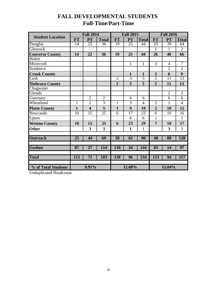# **FALL DEVELOPMENTAL STUDENTS Full-Time/Part-Time**

|                         |                 | <b>Fall 2014</b>        |                         |                | <b>Fall 2015</b>        |                |                 | <b>Fall 2016</b> |                |
|-------------------------|-----------------|-------------------------|-------------------------|----------------|-------------------------|----------------|-----------------|------------------|----------------|
| <b>Student Location</b> | <b>FT</b>       | <b>PT</b>               | <b>Total</b>            | <b>FT</b>      | <b>PT</b>               | <b>Total</b>   | <b>FT</b>       | PT               | <b>Total</b>   |
| Douglas                 | 14              | 22                      | 36                      | 19             | 25                      | 44             | $\overline{25}$ | 39               | 64             |
| Glenrock                |                 |                         |                         |                |                         |                | $\mathbf{1}$    | 1                | $\overline{2}$ |
| <b>Converse County</b>  | 14              | 22                      | 36                      | 19             | 25                      | 44             | 26              | 40               | 66             |
| <b>Hulett</b>           |                 |                         |                         |                |                         |                |                 |                  |                |
| Moorcroft               |                 |                         |                         |                | $\mathbf{1}$            | $\mathbf{1}$   | $\overline{3}$  | $\overline{4}$   | 7              |
| Sundance                |                 |                         |                         |                |                         |                |                 | $\overline{2}$   | $\overline{2}$ |
| <b>Crook County</b>     |                 |                         |                         |                | $\mathbf{1}$            | $\mathbf{1}$   | 3               | 6                | 9              |
| Lusk                    |                 |                         |                         | $\overline{2}$ | $\overline{3}$          | 5              | $\overline{2}$  | 11               | 13             |
| <b>Niobrara County</b>  |                 |                         |                         | $\overline{2}$ | $\overline{\mathbf{3}}$ | 5              | $\overline{2}$  | 11               | 13             |
| Chugwater               |                 |                         |                         |                |                         |                |                 |                  |                |
| Glendo                  |                 |                         |                         |                |                         |                |                 | $\overline{2}$   | $\overline{2}$ |
| Guernsey                |                 | $\overline{2}$          | $\overline{2}$          |                | 6                       | 6              |                 | 6                | 6              |
| Wheatland               | $\mathbf{1}$    | $\overline{2}$          | $\overline{3}$          | $\mathbf{1}$   | 3                       | $\overline{4}$ | $\overline{2}$  | $\overline{2}$   | $\overline{4}$ |
| <b>Platte County</b>    | $\mathbf{1}$    | $\overline{\mathbf{4}}$ | $\overline{\mathbf{5}}$ | $\mathbf{1}$   | 9                       | 10             | $\overline{2}$  | 10               | 12             |
| Newcastle               | 10              | 15                      | 25                      | 6              | 17                      | 23             | 6               | 10               | 16             |
| Upton                   |                 |                         |                         |                | 6                       | 6              | $\mathbf{1}$    |                  | $\overline{1}$ |
| <b>Weston County</b>    | 10              | 15                      | 25                      | 6              | 23                      | 29             | $\overline{7}$  | 10               | 17             |
| <b>Other</b>            |                 | 3                       | 3                       |                | $\mathbf{1}$            | $\mathbf{1}$   |                 | 3                | 3              |
|                         |                 |                         |                         |                |                         |                |                 |                  |                |
| <b>Outreach</b>         | $\overline{25}$ | 44                      | 69                      | 28             | 62                      | 90             | 40              | 80               | <b>120</b>     |
|                         |                 |                         |                         |                |                         |                |                 |                  |                |
| <b>Goshen</b>           | 87              | $\overline{27}$         | 114                     | <b>110</b>     | 34                      | 144            | 83              | 14               | 97             |
|                         |                 |                         |                         |                |                         |                |                 |                  |                |
| <b>Total</b>            | 112             | 71                      | 183                     | 138            | 96                      | 234            | 123             | 94               | 217            |
|                         |                 |                         |                         |                |                         |                |                 |                  |                |
| % of Total Students     | 9.91%           |                         |                         | 12.68%         |                         | 12.84%         |                 |                  |                |

Unduplicated Headcount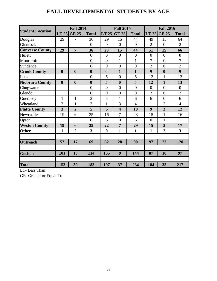# **FALL DEVELOPMENTAL STUDENTS BY AGE**

|                         |                  | <b>Fall 2014</b> |                         |                  | <b>Fall 2015</b>        |                  | <b>Fall 2016</b> |                  |                         |  |
|-------------------------|------------------|------------------|-------------------------|------------------|-------------------------|------------------|------------------|------------------|-------------------------|--|
| <b>Student Location</b> | LT 25            | <b>GE 25</b>     | <b>Total</b>            | LT 25            | <b>GE 25</b>            | <b>Total</b>     | LT 25            | <b>GE 25</b>     | <b>Total</b>            |  |
| Douglas                 | 29               | 7                | 36                      | 29               | 15                      | 44               | 49               | 15               | 64                      |  |
| Glenrock                |                  |                  | $\theta$                | $\overline{0}$   | $\overline{0}$          | $\overline{0}$   | $\overline{2}$   | $\theta$         | $\overline{2}$          |  |
| <b>Converse County</b>  | 29               | $\overline{7}$   | 36                      | 29               | 15                      | 44               | 51               | 15               | 66                      |  |
| Hulett                  |                  |                  | $\overline{0}$          | $\overline{0}$   | $\overline{0}$          | $\overline{0}$   | $\overline{0}$   | $\overline{0}$   | $\boldsymbol{0}$        |  |
| Moorcroft               |                  |                  | $\overline{0}$          | $\overline{0}$   | $\mathbf{1}$            | $\mathbf{1}$     | $\overline{7}$   | $\overline{0}$   | 7                       |  |
| Sundance                |                  |                  | $\overline{0}$          | $\overline{0}$   | $\overline{0}$          | $\boldsymbol{0}$ | $\overline{2}$   | $\overline{0}$   | $\overline{2}$          |  |
| <b>Crook County</b>     | $\boldsymbol{0}$ | $\boldsymbol{0}$ | $\bf{0}$                | $\boldsymbol{0}$ | $\mathbf{1}$            | $\mathbf{1}$     | 9                | $\boldsymbol{0}$ | 9                       |  |
| Lusk                    |                  |                  | $\overline{0}$          | 5                | $\overline{0}$          | 5                | 12               | 1                | 13                      |  |
| <b>Niobrara County</b>  | $\boldsymbol{0}$ | $\boldsymbol{0}$ | $\boldsymbol{0}$        | 5                | $\boldsymbol{0}$        | 5                | 12               | $\mathbf{1}$     | 13                      |  |
| Chugwater               |                  |                  | $\overline{0}$          | $\overline{0}$   | $\overline{0}$          | $\overline{0}$   | $\overline{0}$   | $\overline{0}$   | $\overline{0}$          |  |
| Glendo                  |                  |                  | $\overline{0}$          | $\overline{0}$   | $\overline{0}$          | $\overline{0}$   | $\overline{2}$   | $\overline{0}$   | $\overline{2}$          |  |
| Guernsey                | $\mathbf{1}$     | $\mathbf{1}$     | $\overline{2}$          | 5                | $\mathbf{1}$            | 6                | 6                | $\overline{0}$   | 6                       |  |
| Wheatland               | $\overline{2}$   | 1                | 3                       | 1                | 3                       | $\overline{4}$   | 1                | 3                | $\overline{4}$          |  |
| <b>Platte County</b>    | 3                | $\overline{2}$   | 5                       | 6                | $\overline{\mathbf{4}}$ | 10               | 9                | 3                | 12                      |  |
| Newcastle               | 19               | 6                | 25                      | 16               | 7                       | 23               | 15               | 1                | 16                      |  |
| Upton                   |                  |                  | $\overline{0}$          | 6                | $\overline{0}$          | 6                | $\overline{0}$   | $\mathbf{1}$     | $\mathbf{1}$            |  |
| <b>Weston County</b>    | 19               | 6                | 25                      | 22               | $\overline{7}$          | 29               | 15               | $\overline{2}$   | 17                      |  |
| <b>Other</b>            | 1                | $\overline{2}$   | $\overline{\mathbf{3}}$ | $\bf{0}$         | $\mathbf{1}$            | $\mathbf{1}$     | $\mathbf{1}$     | $\overline{2}$   | $\overline{\mathbf{3}}$ |  |
|                         |                  |                  |                         |                  |                         |                  |                  |                  |                         |  |
| Outreach                | 52               | 17               | 69                      | 62               | 28                      | 90               | 97               | 23               | 120                     |  |
|                         |                  |                  |                         |                  |                         |                  |                  |                  |                         |  |
| Goshen                  | 101              | 13               | 114                     | 135              | 9                       | 144              | 87               | 10               | 97                      |  |
|                         |                  |                  |                         |                  |                         |                  |                  |                  |                         |  |
| <b>Total</b>            | 153              | 30               | 183                     | 197              | 37                      | 234              | 184              | 33               | 217                     |  |

LT- Less Than

GE- Greater or Equal To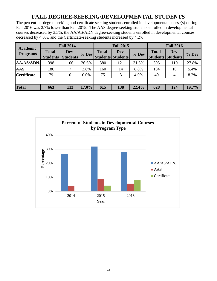# **FALL DEGREE-SEEKING/DEVELOPMENTAL STUDENTS**

The percent of degree-seeking and certificate seeking students enrolled in developmental course(s) during Fall 2016 was 2.7% lower than Fall 2015. The AAS degree-seeking students enrolled in developmental courses decreased by 3.3%, the AA/AS/ADN degree-seeking students enrolled in developmental courses decreased by 4.0%, and the Certificate-seeking students increased by 4.2%.

| <b>Academic</b>    |                                 | <b>Fall 2014</b>              |         |              | <b>Fall 2015</b>                |         | <b>Fall 2016</b>                         |            |         |  |
|--------------------|---------------------------------|-------------------------------|---------|--------------|---------------------------------|---------|------------------------------------------|------------|---------|--|
| <b>Programs</b>    | <b>Total</b><br><b>Students</b> | <b>Dev</b><br><b>Students</b> | % Dev   | <b>Total</b> | Dev<br><b>Students Students</b> | $%$ Dev | <b>Total</b><br><b>Students Students</b> | <b>Dev</b> | $%$ Dev |  |
| AA/AS/ADN.         | 398                             | 106                           | 26.6%   | 380          | 121                             | 31.8%   | 395                                      | 110        | 27.8%   |  |
| <b>AAS</b>         | 186                             | 7                             | 3.8%    | 160          | 14                              | 8.8%    | 184                                      | 10         | 5.4%    |  |
| <b>Certificate</b> | 79                              | $\boldsymbol{0}$              | $0.0\%$ | 75           | 3                               | 4.0%    | 49                                       | 4          | 8.2%    |  |
|                    |                                 |                               |         |              |                                 |         |                                          |            |         |  |
| <b>Total</b>       | 663                             | 113                           | 17.0%   | 615          | 138                             | 22.4%   | 628                                      | 124        | 19.7%   |  |

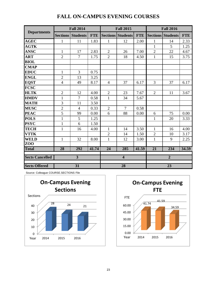|                        |                 | <b>Fall 2014</b> |            |                | <b>Fall 2015</b>         |            | <b>Fall 2016</b> |                          |            |  |
|------------------------|-----------------|------------------|------------|----------------|--------------------------|------------|------------------|--------------------------|------------|--|
| <b>Departments</b>     | <b>Sections</b> | <b>Students</b>  | <b>FTE</b> |                | <b>Sections Students</b> | <b>FTE</b> |                  | <b>Sections Students</b> | <b>FTE</b> |  |
| <b>AGEC</b>            | $\mathbf{1}$    | 11               | 1.83       | $\mathbf{1}$   | 12                       | 2.00       | $\mathbf{1}$     | 14                       | 2.33       |  |
| <b>AGTK</b>            |                 |                  |            |                |                          |            | $\mathbf{1}$     | 5                        | 1.25       |  |
| <b>ANSC</b>            | $\mathbf{1}$    | 17               | 2.83       | $\overline{2}$ | 26                       | 7.00       | $\sqrt{2}$       | 22                       | 4.67       |  |
| <b>ART</b>             | $\overline{2}$  | $\overline{7}$   | 1.75       | $\overline{2}$ | 18                       | 4.50       | $\mathbf{1}$     | 15                       | 3.75       |  |
| <b>BIOL</b>            |                 |                  |            |                |                          |            |                  |                          |            |  |
| <b>CMAP</b>            |                 |                  |            |                |                          |            |                  |                          |            |  |
| <b>EDUC</b>            | $\mathbf{1}$    | $\overline{3}$   | 0.75       |                |                          |            |                  |                          |            |  |
| <b>ENGL</b>            | $\overline{2}$  | 13               | 3.25       |                |                          |            |                  |                          |            |  |
| <b>EQST</b>            | $\overline{4}$  | 49               | 8.17       | $\overline{4}$ | 37                       | 6.17       | 3                | 37                       | 6.17       |  |
| <b>FCSC</b>            |                 |                  |            |                |                          |            |                  |                          |            |  |
| <b>HLTK</b>            | $\overline{2}$  | 12               | 4.00       | $\overline{2}$ | 23                       | 7.67       | $\overline{2}$   | 11                       | 3.67       |  |
| <b>HMDV</b>            | $\mathbf{1}$    | $\tau$           | 0.58       | $\mathbf{1}$   | 34                       | 5.67       |                  |                          |            |  |
| <b>MATH</b>            | 3               | 11               | 3.50       |                |                          |            |                  |                          |            |  |
| <b>MUSC</b>            | $\overline{2}$  | $\overline{4}$   | 0.33       | $\overline{2}$ | $\overline{7}$           | 0.58       |                  |                          |            |  |
| <b>PEAC</b>            | 5               | 99               | 0.00       | 6              | 88                       | 0.00       | 6                | 75                       | 0.00       |  |
| <b>POLS</b>            | $\mathbf{1}$    | 5                | 1.25       |                |                          |            | $\mathbf{1}$     | 20                       | 3.33       |  |
| <b>PSYC</b>            | $\mathbf{1}$    | 6                | 1.50       |                |                          |            |                  |                          |            |  |
| <b>TECH</b>            | $\mathbf{1}$    | 16               | 4.00       | $\mathbf{1}$   | 14                       | 3.50       | $\mathbf{1}$     | 16                       | 4.00       |  |
| <b>VTTK</b>            |                 |                  |            | $\overline{2}$ | 14                       | 1.50       | $\overline{2}$   | 10                       | 3.17       |  |
| <b>WELD</b>            | $\mathbf{1}$    | 32               | 8.00       | $\mathbf{1}$   | 12                       | 3.00       | $\mathbf{1}$     | 9                        | 2.25       |  |
| Z <sub>0</sub>         |                 |                  |            |                |                          |            |                  |                          |            |  |
| <b>Total</b>           | 28              | 292              | 41.74      | 24             | 285                      | 41.59      | $\overline{21}$  | 234                      | 34.59      |  |
| <b>Sects Cancelled</b> |                 | $\overline{3}$   |            |                | $\overline{\mathbf{4}}$  |            |                  | $\overline{2}$           |            |  |
| <b>Sects Offered</b>   |                 | $\overline{31}$  |            |                | $\overline{28}$          |            |                  | $\overline{23}$          |            |  |

#### **FALL ON-CAMPUS EVENING COURSES**

Source: Colleague COURSE.SECTIONS File



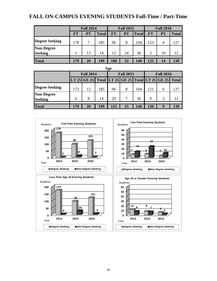#### **FALL ON-CAMPUS EVENING STUDENTS Full-Time / Part-Time**

|                                     |           | <b>Fall 2014</b> |              |           | <b>Fall 2015</b> |              | <b>Fall 2016</b> |                |              |  |
|-------------------------------------|-----------|------------------|--------------|-----------|------------------|--------------|------------------|----------------|--------------|--|
|                                     | <b>FT</b> | <b>PT</b>        | <b>Total</b> | <b>FT</b> | <b>PT</b>        | <b>Total</b> | <b>FT</b>        | PT             | <b>Total</b> |  |
| <b>Degree Seeking</b>               | 178       | 7                | 185          | 96        | 8                | 104          | 123              | $\overline{4}$ | 127          |  |
| <b>Non-Degree</b><br><b>Seeking</b> |           | 13               | 14           | 12        | 24               | 36           | $\mathfrak{D}$   | 10             | 12           |  |
|                                     |           |                  |              |           |                  |              |                  |                |              |  |
| <b>Total</b>                        | 179       | 20               | 199          | 108       | 32               | 140          | 125              | 14             | 139          |  |

| Age                                 |     |                                                       |     |     |                  |     |             |                  |     |  |
|-------------------------------------|-----|-------------------------------------------------------|-----|-----|------------------|-----|-------------|------------------|-----|--|
|                                     |     | <b>Fall 2014</b>                                      |     |     | <b>Fall 2015</b> |     |             | <b>Fall 2016</b> |     |  |
|                                     |     | LT 25 GE 25 Total LT 25 GE 25 Total LT 25 GE 25 Total |     |     |                  |     |             |                  |     |  |
| <b>Degree Seeking</b>               | 173 | 12                                                    | 185 | 96  | 8                | 104 | 121         | 6                | 127 |  |
| <b>Non-Degree</b><br><b>Seeking</b> | 6   | 8                                                     | 14  | 29  | 7                | 36  | $\mathbf Q$ | 3                | 12  |  |
| <b>Total</b>                        | 179 | 20                                                    | 199 | 125 | 15               | 140 | 130         | Q                | 139 |  |



24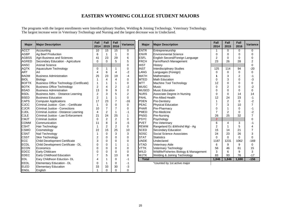#### **EASTERN WYOMING COLLEGE STUDENT MAJORS**

The programs with the largest enrollments were Interdisciplinary Studies, Welding & Joining Technology, Veterinary Technology. The largest increase were in Veterinary Technology and Nursing and the largest decrease was in Undeclared.

| <b>Major</b> | <b>Major Description</b>                 | <b>Fall</b><br>2014 | Fall<br>2015   | Fall<br>2016   | Variance       | <b>Major</b>                                           | <b>Major Description</b>         |                | <b>Fall</b><br>2015 | Fall<br>2016   | Variance |
|--------------|------------------------------------------|---------------------|----------------|----------------|----------------|--------------------------------------------------------|----------------------------------|----------------|---------------------|----------------|----------|
| <b>ACCT</b>  | Accounting                               | 10                  | 15             | 15             | 0              | <b>ENTR</b>                                            | Entrepreneurship                 |                | 0                   | 0              | 0        |
| <b>AGBP</b>  | Ag Beef Production                       | 6                   |                |                | 0              | <b>ENVR</b>                                            | Environmental Science            |                |                     | $\Omega$       | $\Omega$ |
| <b>AGBSS</b> | Agri-Business and Sciences               | 41                  | 23             | 29             | 6              | <b>ESFL</b>                                            | English Second/Foreign Language  |                |                     | $\Omega$       | $\Omega$ |
| <b>AGRED</b> | Secondary Education - Agriculture        | $\Omega$            | $\Omega$       | 5              | 5              | <b>FRCH</b>                                            | Farm/Ranch Management            | 23             | 26                  | 28             | 2        |
| <b>ANSC</b>  | <b>Animal Science</b>                    |                     |                |                | $\overline{0}$ | <b>HIST</b>                                            | History                          |                |                     |                | $\Omega$ |
| <b>AQTK</b>  | Aquaculture Technology                   | 0                   |                |                | 0              | <b>INST</b>                                            | <b>Interdisciplinary Studies</b> | 125            | 114                 | 94             | $-20$    |
| <b>ART</b>   | Art                                      | 4                   | 6              | 4              | $-2$           | LANG                                                   | Languages (Foreign)              | $\Omega$       | $\Omega$            | $\Omega$       | $\Omega$ |
| <b>BADM</b>  | <b>Business Administration</b>           | 25                  | 23             | 19             | $-4$           | <b>MATH</b>                                            | <b>Mathematics</b>               |                | 3                   | $\overline{2}$ | $-1$     |
| <b>BIOL</b>  | Biology                                  |                     | 4              | Δ              | 0              | <b>MTED</b>                                            | <b>Math Education</b>            | 0              | 3                   | 0              | -3       |
| <b>BOFTK</b> | Business Office Technology (Certificate) | 1                   |                |                | 0              | <b>MTT</b>                                             | Machine Tool Technology          | 12             | 0                   | 0              | 0        |
| <b>BOTK</b>  | <b>Business Office Technology</b>        | 2                   | $\overline{4}$ | 2              | $-2$           | <b>MUSC</b>                                            | Music                            | $\Omega$       | $\overline{c}$      | 0              | -2       |
| <b>BSAD</b>  | <b>Business Administration</b>           | 13                  | 9              | 9              | 0              | <b>MUSED</b>                                           | <b>Music Education</b>           | $\Omega$       | $\Omega$            | $\Omega$       | $\Omega$ |
| <b>BSDL</b>  | Business Adm. - Distance Learning        | $\overline{2}$      | 3              | 5              | $\overline{c}$ | <b>NURS</b>                                            | Associate Degree in Nursing      | $\Omega$       | $\Omega$            | 14             | 14       |
| <b>BSED</b>  | <b>Business Education</b>                | $\overline{2}$      |                |                | 0              | <b>PAHL</b>                                            | <b>Pre-Allied Health</b>         |                | 24                  | 23             | $-1$     |
| <b>CAPS</b>  | <b>Computer Applications</b>             | 17                  | 23             | 7              | $-16$          | <b>PDEN</b>                                            | <b>Pre-Dentistry</b>             |                | 2                   | $\Omega$       | $-2$     |
| CJCC         | Criminal Justice - Corr. - Certificate   | 1                   | $\Omega$       | $\Omega$       | 0              | <b>PEAC</b><br><b>Physical Education</b>               |                                  | 7              | 3                   | 10             | 7        |
| <b>CJCR</b>  | Criminal Justice - Corrections           | 10                  | $\overline{7}$ | 7              | 0              | <b>PHAR</b><br>Pre-Pharmacy                            |                                  | 0              |                     | $\Omega$       | $-1$     |
| <b>CJDL</b>  | Criminal Justice - Distance Learning     | $\overline{4}$      | $\overline{c}$ |                | $-1$           | <b>PMED</b><br>Pre-Medicine                            |                                  | $\overline{7}$ | $\overline{2}$      | $\Omega$       | $-2$     |
| <b>CJLE</b>  | Criminal Justice - Law Enforcement       | 21                  | 24             | 25             | $\mathbf{1}$   | <b>IPNSG</b><br><b>Pre-Nursing</b>                     |                                  | 26             | 25                  | 32             | 7        |
| <b>CMJT</b>  | <b>Criminal Justice</b>                  | $\mathbf 0$         | $\overline{c}$ | $\overline{2}$ | 0              | <b>PSYC</b><br>Psychology                              |                                  | $\overline{2}$ |                     |                | 0        |
| <b>COMM</b>  | Communication                            | 11                  | 8              | 3              | $-5$           | <b>PVET</b><br>Pre-Veterinary                          |                                  | 6              | 4                   | 3              | -1       |
| <b>CSHT</b>  | Hair Technology                          |                     | 2              | 2              | 0              | <b>REWM</b>                                            | Rangeland Ec & Wtrshd Mgt - Ag   | $\overline{2}$ |                     | 5              | 4        |
| <b>CSMO</b>  | Cosmetology                              | 22                  | 15             | 25             | 10             | <b>SCED</b>                                            | Secondary Education              | 15             | 14                  | 21             | 7        |
| <b>CSNT</b>  | Nail Technology                          | 1                   | $\Omega$       | 3              | 3              | SOSC                                                   | Social Science Associates        | 24             | 23                  | 26             | 3        |
| <b>CSST</b>  | Skin Technology                          | $\overline{2}$      | $\Omega$       | $\Omega$       | 0              | <b>STAT</b>                                            | Statistics                       | $\Omega$       | $\Omega$            | $\Omega$       | $\Omega$ |
| <b>ECC</b>   | <b>Child Development Certificate</b>     | 3                   | 0              | 0              | 0              | <b>UNDE</b><br>Undeclared                              |                                  | 1187           | 1231                | 1062           | $-169$   |
| <b>ECDL</b>  | Child Development Certificate - DL       | $\mathbf 0$         | 0              |                | 1              | <b>VTAD</b><br><b>Veterinary Aide</b>                  |                                  | 6              | 9                   | 9              | 0        |
| <b>ECON</b>  | Economics                                | $\mathbf 0$         | 0              | $\Omega$       | 0              | <b>VTTK</b><br><b>Veterinary Technology</b>            |                                  | 56             | 46                  | 61             | 15       |
| <b>EDCC</b>  | <b>Early Childcare</b>                   | 0                   | 0              | $\Omega$       | 0              | <b>WILD</b><br>Wildlife/Fisheries Biology & Management |                                  | 3              | 6                   | 9              | 3        |
| <b>EDEC</b>  | Early Childhood Education                | 7                   | 5              | 13             | 8              | <b>WJTK</b>                                            | Welding & Joining Technology     | 83             | 93                  | 76             | $-17$    |
| <b>EDL</b>   | Eary Childhoon Eduction- DL              | 4                   |                | $\Omega$       | $-1$           | <b>Total</b>                                           |                                  | 1,846          | 1,846               | 1,690          | $-156$   |
| EEDL         | Elementary Education - DL                | 0                   |                | 0              | $-1$           |                                                        | *counted by 1st active major     |                |                     |                |          |
| <b>IELED</b> | <b>Elementary Education</b>              | 33                  | 33             | 30             | $-3$           |                                                        |                                  |                |                     |                |          |
| ENGL         | English                                  |                     | 0              | 0              | 0              |                                                        |                                  |                |                     |                |          |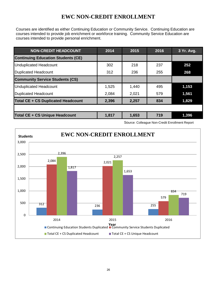## **EWC NON-CREDIT ENROLLMENT**

Courses are identified as either Continuing Education or Community Service. Continuing Education are courses intended to provide job enrichment or workforce training. Community Service Education are courses intended to provide personal enrichment.

| <b>NON-CREDIT HEADCOUNT</b>               | 2014  | 2015  | 2016 | 3 Yr. Avg. |
|-------------------------------------------|-------|-------|------|------------|
| <b>Continuing Education Students (CE)</b> |       |       |      |            |
| <b>Unduplicated Headcount</b>             | 302   | 218   | 237  | 252        |
| <b>Duplicated Headcount</b>               | 312   | 236   | 255  | 268        |
| <b>Community Service Students (CS)</b>    |       |       |      |            |
| <b>Unduplicated Headcount</b>             | 1,525 | 1,440 | 495  | 1,153      |
| <b>Duplicated Headcount</b>               | 2,084 | 2,021 | 579  | 1,561      |
| <b>Total CE + CS Duplicated Headcount</b> | 2,396 | 2,257 | 834  | 1,829      |
|                                           |       |       |      |            |
| Total CE + CS Unique Headcount            | 1,817 | 1,653 | 719  | 1,396      |

Source: Colleague Non-Credit Enrollment Report

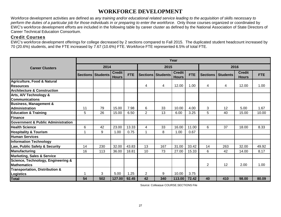#### **WORKFORCE DEVELOPMENT**

Workforce development activities are defined as *any training and/or educational related service leading to the acquisition of skills necessary to perform the duties of a particular job for those individuals in or preparing to enter the workforce*. Only those courses organized or coordinated by EWC's workforce development efforts are included in the following table by career cluster as defined by the National Association of State Directors of Career Technical Education Consortium.

#### Credit Courses

EWC's workforce development offerings for college decreased by 2 sections compared to Fall 2015. The duplicated student headcount increased by 70 (20.6%) students, and the FTE increased by 7.67 (10.6%) FTE. Workforce FTE represented 6.5% of total FTE.

|                                               | Year |                          |                               |            |                |                     |                               |            |                 |                 |                               |            |
|-----------------------------------------------|------|--------------------------|-------------------------------|------------|----------------|---------------------|-------------------------------|------------|-----------------|-----------------|-------------------------------|------------|
| <b>Career Clusters</b>                        | 2014 |                          |                               |            | 2015           |                     |                               |            | 2016            |                 |                               |            |
|                                               |      | <b>Sections Students</b> | <b>Credit</b><br><b>Hours</b> | <b>FTE</b> |                | Sections   Students | <b>Credit</b><br><b>Hours</b> | <b>FTE</b> | <b>Sections</b> | <b>Students</b> | <b>Credit</b><br><b>Hours</b> | <b>FTE</b> |
| <b>Agriculture, Food &amp; Natural</b>        |      |                          |                               |            |                |                     |                               |            |                 |                 |                               |            |
| <b>Resources</b>                              |      |                          |                               |            | 4              | 4                   | 12.00                         | 1.00       | 4               | 4               | 12.00                         | 1.00       |
| <b>Architecture &amp; Construction</b>        |      |                          |                               |            |                |                     |                               |            |                 |                 |                               |            |
| Arts, A/V Technology &                        |      |                          |                               |            |                |                     |                               |            |                 |                 |                               |            |
| <b>Communications</b>                         |      |                          |                               |            |                |                     |                               |            |                 |                 |                               |            |
| <b>Business, Management &amp;</b>             |      |                          |                               |            |                |                     |                               |            |                 |                 |                               |            |
| <b>Administration</b>                         | 11   | 79                       | 15.00                         | 7.98       | 6              | 33                  | 10.00                         | 4.00       | 3               | 12              | 5.00                          | 1.67       |
| <b>Education &amp; Training</b>               | 5    | 26                       | 15.00                         | 6.50       | $\overline{2}$ | 13                  | 6.00                          | 3.25       | 5               | 40              | 15.00                         | 10.00      |
| Finance                                       |      |                          |                               |            |                |                     |                               |            |                 |                 |                               |            |
| <b>Government &amp; Public Administration</b> |      |                          |                               |            |                |                     |                               |            |                 |                 |                               |            |
| <b>Health Science</b>                         | 6    | 42                       | 23.00                         | 13.33      | 4              | 33                  | 16.00                         | 11.00      | 6               | 37              | 18.00                         | 8.33       |
| <b>Hospitality &amp; Tourism</b>              |      | 9                        | 1.00                          | 0.75       |                | 8                   | 1.00                          | 0.67       |                 |                 |                               |            |
| <b>Human Services</b>                         |      |                          |                               |            |                |                     |                               |            |                 |                 |                               |            |
| <b>Information Technology</b>                 |      |                          |                               |            |                |                     |                               |            |                 |                 |                               |            |
| Law, Public Safety & Security                 | 14   | 230                      | 32.00                         | 43.83      | 13             | 167                 | 31.00                         | 33.42      | 14              | 263             | 32.00                         | 49.92      |
| <b>Manufacturing</b>                          | 16   | 113                      | 36.00                         | 18.81      | 10             | 73                  | 27.00                         | 15.33      | 6               | 42              | 14.00                         | 8.17       |
| <b>Marketing, Sales &amp; Service</b>         |      |                          |                               |            |                |                     |                               |            |                 |                 |                               |            |
| Science, Technology, Engineering &            |      |                          |                               |            |                |                     |                               |            |                 |                 |                               |            |
| <b>Mathematics</b>                            |      |                          |                               |            |                |                     |                               |            | $\overline{2}$  | 12              | 2.00                          | 1.00       |
| <b>Transportation, Distribution &amp;</b>     |      |                          |                               |            |                |                     |                               |            |                 |                 |                               |            |
| <b>Logistics</b>                              |      | 3                        | 5.00                          | 1.25       | $\overline{2}$ | 9                   | 10.00                         | 3.75       |                 |                 |                               |            |
| <b>Total</b>                                  | 54   | 502                      | 127.00                        | 92.45      | 42             | 340                 | 113.00                        | 72.42      | 40              | 410             | 98.00                         | 80.09      |

Source: Colleague COURSE.SECTIONS File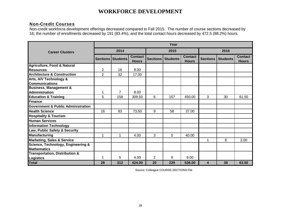#### **WORKFORCE DEVELOPMENT**

#### Non-Credit Courses

Non-credit workforce development offerings decreased compared to Fall 2015. The number of course sections decreased by 16; the number of enrollments decreased by 191 (83.4%), and the total contact hours decreased by 472.5 (88.2%) hours.

|                                               | Year           |                            |                                |    |                          |                                |                 |                 |                                |  |  |
|-----------------------------------------------|----------------|----------------------------|--------------------------------|----|--------------------------|--------------------------------|-----------------|-----------------|--------------------------------|--|--|
| <b>Career Clusters</b>                        |                | 2014                       |                                |    | 2015                     |                                | 2016            |                 |                                |  |  |
|                                               |                | <b>Sections   Students</b> | <b>Contact</b><br><b>Hours</b> |    | <b>Sections Students</b> | <b>Contact</b><br><b>Hours</b> | <b>Sections</b> | <b>Students</b> | <b>Contact</b><br><b>Hours</b> |  |  |
| <b>Agriculture, Food &amp; Natural</b>        |                |                            |                                |    |                          |                                |                 |                 |                                |  |  |
| <b>Resources</b>                              | $\overline{2}$ | 16                         | 8.00                           |    |                          |                                |                 |                 |                                |  |  |
| <b>Architecture &amp; Construction</b>        | $\overline{2}$ | 32                         | 17.00                          |    |                          |                                |                 |                 |                                |  |  |
| Arts, A/V Technology &                        |                |                            |                                |    |                          |                                |                 |                 |                                |  |  |
| <b>Communications</b>                         |                |                            |                                |    |                          |                                |                 |                 |                                |  |  |
| <b>Business, Management &amp;</b>             |                |                            |                                |    |                          |                                |                 |                 |                                |  |  |
| <b>Administration</b>                         | 1              | $\overline{7}$             | 8.00                           |    |                          |                                |                 |                 |                                |  |  |
| <b>Education &amp; Training</b>               | 5              | 158                        | 309.50                         | 6  | 157                      | 450.00                         | 3               | 30              | 61.50                          |  |  |
| Finance                                       |                |                            |                                |    |                          |                                |                 |                 |                                |  |  |
| <b>Government &amp; Public Administration</b> |                |                            |                                |    |                          |                                |                 |                 |                                |  |  |
| <b>Health Science</b>                         | 16             | 93                         | 73.50                          | 9  | 58                       | 37.00                          |                 |                 |                                |  |  |
| <b>Hospitality &amp; Tourism</b>              |                |                            |                                |    |                          |                                |                 |                 |                                |  |  |
| <b>Human Services</b>                         |                |                            |                                |    |                          |                                |                 |                 |                                |  |  |
| <b>Information Technology</b>                 |                |                            |                                |    |                          |                                |                 |                 |                                |  |  |
| Law, Public Safety & Security                 |                |                            |                                |    |                          |                                |                 |                 |                                |  |  |
| Manufacturing                                 | 1              | 1                          | 4.00                           | 3  | 5                        | 40.00                          |                 |                 |                                |  |  |
| <b>Marketing, Sales &amp; Service</b>         |                |                            |                                |    |                          |                                | 1               | 8               | 2.00                           |  |  |
| Science, Technology, Engineering &            |                |                            |                                |    |                          |                                |                 |                 |                                |  |  |
| <b>Mathematics</b>                            |                |                            |                                |    |                          |                                |                 |                 |                                |  |  |
| <b>Transportation, Distribution &amp;</b>     |                |                            |                                |    |                          |                                |                 |                 |                                |  |  |
| <b>Logistics</b>                              |                | 5                          | 4.00                           | 2  | 9                        | 9.00                           |                 |                 |                                |  |  |
| <b>Total</b>                                  | 28             | 312                        | 424.00                         | 20 | 229                      | 536.00                         | 4               | 38              | 63.50                          |  |  |

Source: Colleague COURSE.SECTIONS File